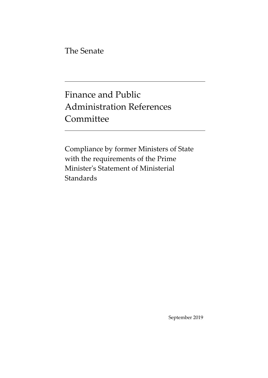The Senate

Finance and Public Administration References **Committee** 

Compliance by former Ministers of State with the requirements of the Prime Minister's Statement of Ministerial **Standards** 

September 2019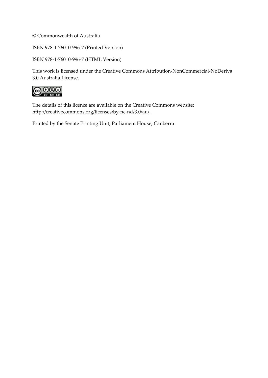© Commonwealth of Australia

ISBN 978-1-76010-996-7 (Printed Version)

ISBN 978-1-76010-996-7 (HTML Version)

This work is licensed under the Creative Commons Attribution-NonCommercial-NoDerivs 3.0 Australia License.



The details of this licence are available on the Creative Commons website: [http://creativecommons.org/licenses/by-nc-nd/3.0/au/.](http://creativecommons.org/licenses/by-nc-nd/3.0/au/)

Printed by the Senate Printing Unit, Parliament House, Canberra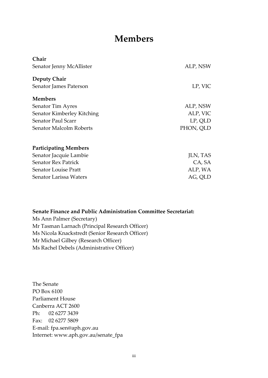## **Members**

<span id="page-2-0"></span>

| Chair                        |           |
|------------------------------|-----------|
| Senator Jenny McAllister     | ALP, NSW  |
| <b>Deputy Chair</b>          |           |
| Senator James Paterson       | LP, VIC   |
| <b>Members</b>               |           |
| Senator Tim Ayres            | ALP, NSW  |
| Senator Kimberley Kitching   | ALP, VIC  |
| Senator Paul Scarr           | LP, QLD   |
| Senator Malcolm Roberts      | PHON, QLD |
| <b>Participating Members</b> |           |
| Senator Jacquie Lambie       | JLN, TAS  |
| <b>Senator Rex Patrick</b>   | CA, SA    |
| Senator Louise Pratt         | ALP, WA   |
| Senator Larissa Waters       | AG, QLD   |

#### **Senate Finance and Public Administration Committee Secretariat:**

Ms Ann Palmer (Secretary) Mr Tasman Larnach (Principal Research Officer) Ms Nicola Knackstredt (Senior Research Officer) Mr Michael Gilbey (Research Officer) Ms Rachel Debels (Administrative Officer)

The Senate PO Box 6100 Parliament House Canberra ACT 2600 Ph: 02 6277 3439 Fax: 02 6277 5809 E-mail: fpa.sen@aph.gov.au Internet: www.aph.gov.au/senate\_fpa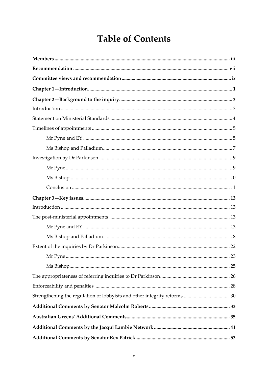# **Table of Contents**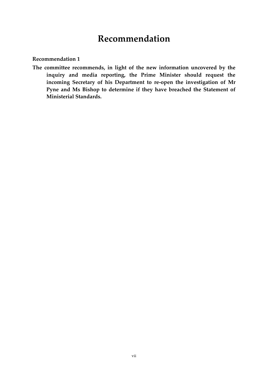## **Recommendation**

<span id="page-6-0"></span>**Recommendation 1**

**The committee recommends, in light of the new information uncovered by the inquiry and media reporting, the Prime Minister should request the incoming Secretary of his Department to re-open the investigation of Mr Pyne and Ms Bishop to determine if they have breached the Statement of Ministerial Standards.**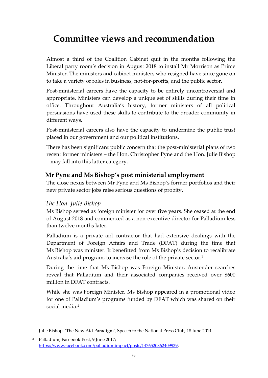## <span id="page-8-0"></span>**Committee views and recommendation**

Almost a third of the Coalition Cabinet quit in the months following the Liberal party room's decision in August 2018 to install Mr Morrison as Prime Minister. The ministers and cabinet ministers who resigned have since gone on to take a variety of roles in business, not-for-profits, and the public sector.

Post-ministerial careers have the capacity to be entirely uncontroversial and appropriate. Ministers can develop a unique set of skills during their time in office. Throughout Australia's history, former ministers of all political persuasions have used these skills to contribute to the broader community in different ways.

Post-ministerial careers also have the capacity to undermine the public trust placed in our government and our political institutions.

There has been significant public concern that the post-ministerial plans of two recent former ministers – the Hon. Christopher Pyne and the Hon. Julie Bishop – may fall into this latter category.

## **Mr Pyne and Ms Bishop's post ministerial employment**

The close nexus between Mr Pyne and Ms Bishop's former portfolios and their new private sector jobs raise serious questions of probity.

## *The Hon. Julie Bishop*

1

Ms Bishop served as foreign minister for over five years. She ceased at the end of August 2018 and commenced as a non-executive director for Palladium less than twelve months later.

Palladium is a private aid contractor that had extensive dealings with the Department of Foreign Affairs and Trade (DFAT) during the time that Ms Bishop was minister. It benefitted from Ms Bishop's decision to recalibrate Australia's aid program, to increase the role of the private sector.<sup>1</sup>

During the time that Ms Bishop was Foreign Minister, Austender searches reveal that Palladium and their associated companies received over \$600 million in DFAT contracts.

While she was Foreign Minister, Ms Bishop appeared in a promotional video for one of Palladium's programs funded by DFAT which was shared on their social media.<sup>2</sup>

<sup>1</sup> Julie Bishop, 'The New Aid Paradigm', Speech to the National Press Club, 18 June 2014.

<sup>2</sup> Palladium, Facebook Post, 9 June 2017; [https://www.facebook.com/palladiumimpact/posts/1476520862409939.](https://www.facebook.com/palladiumimpact/posts/1476520862409939)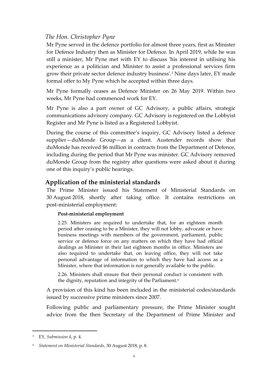## *The Hon. Christopher Pyne*

Mr Pyne served in the defence portfolio for almost three years, first as Minister for Defence Industry then as Minister for Defence. In April 2019, while he was still a minister, Mr Pyne met with EY to discuss 'his interest in utilising his experience as a politician and Minister to assist a professional services firm grow their private sector defence industry business'.<sup>3</sup> Nine days later, EY made formal offer to My Pyne which he accepted within three days.

Mr Pyne formally ceases as Defence Minister on 26 May 2019. Within two weeks, Mr Pyne had commenced work for EY.

Mr Pyne is also a part owner of GC Advisory, a public affairs, strategic communications advisory company. GC Advisory is registered on the Lobbyist Register and Mr Pyne is listed as a Registered Lobbyist.

During the course of this committee's inquiry, GC Advisory listed a defence supplier—duMonde Group—as a client. Austender records show that duMonde has received \$6 million in contracts from the Department of Defence, including during the period that Mr Pyne was minister. GC Advisory removed duMonde Group from the registry after questions were asked about it during one of this inquiry's public hearings.

## **Application of the ministerial standards**

The Prime Minister issued his Statement of Ministerial Standards on 30 August 2018, shortly after taking office. It contains restrictions on post-ministerial employment:

#### **Post-ministerial employment**

2.25. Ministers are required to undertake that, for an eighteen month period after ceasing to be a Minister, they will not lobby, advocate or have business meetings with members of the government, parliament, public service or defence force on any matters on which they have had official dealings as Minister in their last eighteen months in office. Ministers are also required to undertake that, on leaving office, they will not take personal advantage of information to which they have had access as a Minister, where that information is not generally available to the public.

2.26. Ministers shall ensure that their personal conduct is consistent with the dignity, reputation and integrity of the Parliament.<sup>4</sup>

A provision of this kind has been included in the ministerial codes/standards issued by successive prime ministers since 2007.

Following public and parliamentary pressure, the Prime Minister sought advice from the then Secretary of the Department of Prime Minister and

<sup>3</sup> EY, *Submission 4*, p. 4.

<sup>4</sup> *Statement on Ministerial Standards*, 30 August 2018, p. 8.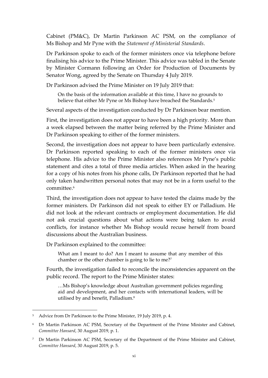Cabinet (PM&C), Dr Martin Parkinson AC PSM, on the compliance of Ms Bishop and Mr Pyne with the *Statement of Ministerial Standards*.

Dr Parkinson spoke to each of the former ministers once via telephone before finalising his advice to the Prime Minister. This advice was tabled in the Senate by Minister Cormann following an Order for Production of Documents by Senator Wong, agreed by the Senate on Thursday 4 July 2019.

Dr Parkinson advised the Prime Minister on 19 July 2019 that:

On the basis of the information available at this time, I have no grounds to believe that either Mr Pyne or Ms Bishop have breached the Standards.<sup>5</sup>

Several aspects of the investigation conducted by Dr Parkinson bear mention.

First, the investigation does not appear to have been a high priority. More than a week elapsed between the matter being referred by the Prime Minister and Dr Parkinson speaking to either of the former ministers.

Second, the investigation does not appear to have been particularly extensive. Dr Parkinson reported speaking to each of the former ministers once via telephone. His advice to the Prime Minister also references Mr Pyne's public statement and cites a total of three media articles. When asked in the hearing for a copy of his notes from his phone calls, Dr Parkinson reported that he had only taken handwritten personal notes that may not be in a form useful to the committee.<sup>6</sup>

Third, the investigation does not appear to have tested the claims made by the former ministers. Dr Parkinson did not speak to either EY or Palladium. He did not look at the relevant contracts or employment documentation. He did not ask crucial questions about what actions were being taken to avoid conflicts, for instance whether Ms Bishop would recuse herself from board discussions about the Australian business.

Dr Parkinson explained to the committee:

What am I meant to do? Am I meant to assume that any member of this chamber or the other chamber is going to lie to me?<sup>7</sup>

Fourth, the investigation failed to reconcile the inconsistencies apparent on the public record. The report to the Prime Minister states:

…Ms Bishop's knowledge about Australian government policies regarding aid and development, and her contacts with international leaders, will be utilised by and benefit, Palladium.<sup>8</sup>

<sup>&</sup>lt;sup>5</sup> Advice from Dr Parkinson to the Prime Minister, 19 July 2019, p. 4.

<sup>6</sup> Dr Martin Parkinson AC PSM, Secretary of the Department of the Prime Minister and Cabinet, *Committee Hansard*, 30 August 2019, p. 1.

<sup>7</sup> Dr Martin Parkinson AC PSM, Secretary of the Department of the Prime Minister and Cabinet, *Committee Hansard*, 30 August 2019, p. 5.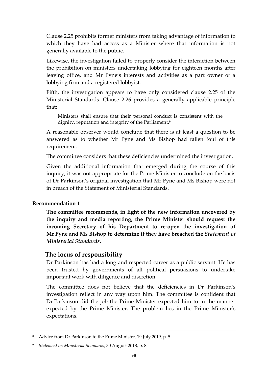Clause 2.25 prohibits former ministers from taking advantage of information to which they have had access as a Minister where that information is not generally available to the public.

Likewise, the investigation failed to properly consider the interaction between the prohibition on ministers undertaking lobbying for eighteen months after leaving office, and Mr Pyne's interests and activities as a part owner of a lobbying firm and a registered lobbyist.

Fifth, the investigation appears to have only considered clause 2.25 of the Ministerial Standards. Clause 2.26 provides a generally applicable principle that:

Ministers shall ensure that their personal conduct is consistent with the dignity, reputation and integrity of the Parliament.<sup>9</sup>

A reasonable observer would conclude that there is at least a question to be answered as to whether Mr Pyne and Ms Bishop had fallen foul of this requirement.

The committee considers that these deficiencies undermined the investigation.

Given the additional information that emerged during the course of this inquiry, it was not appropriate for the Prime Minister to conclude on the basis of Dr Parkinson's original investigation that Mr Pyne and Ms Bishop were not in breach of the Statement of Ministerial Standards.

#### **Recommendation 1**

1

**The committee recommends, in light of the new information uncovered by the inquiry and media reporting, the Prime Minister should request the incoming Secretary of his Department to re-open the investigation of Mr Pyne and Ms Bishop to determine if they have breached the** *Statement of Ministerial Standards***.**

#### **The locus of responsibility**

Dr Parkinson has had a long and respected career as a public servant. He has been trusted by governments of all political persuasions to undertake important work with diligence and discretion.

The committee does not believe that the deficiencies in Dr Parkinson's investigation reflect in any way upon him. The committee is confident that Dr Parkinson did the job the Prime Minister expected him to in the manner expected by the Prime Minister. The problem lies in the Prime Minister's expectations.

<sup>8</sup> Advice from Dr Parkinson to the Prime Minister, 19 July 2019, p. 5.

<sup>9</sup> *Statement on Ministerial Standards*, 30 August 2018, p. 8.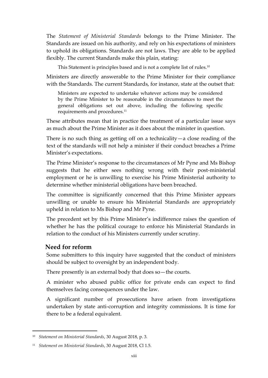The *Statement of Ministerial Standards* belongs to the Prime Minister. The Standards are issued on his authority, and rely on his expectations of ministers to uphold its obligations. Standards are not laws. They are able to be applied flexibly. The current Standards make this plain, stating:

This Statement is principles based and is not a complete list of rules.<sup>10</sup>

Ministers are directly answerable to the Prime Minister for their compliance with the Standards. The current Standards, for instance, state at the outset that:

Ministers are expected to undertake whatever actions may be considered by the Prime Minister to be reasonable in the circumstances to meet the general obligations set out above, including the following specific requirements and procedures.<sup>11</sup>

These attributes mean that in practice the treatment of a particular issue says as much about the Prime Minister as it does about the minister in question.

There is no such thing as getting off on a technicality—a close reading of the text of the standards will not help a minister if their conduct breaches a Prime Minister's expectations.

The Prime Minister's response to the circumstances of Mr Pyne and Ms Bishop suggests that he either sees nothing wrong with their post-ministerial employment or he is unwilling to exercise his Prime Ministerial authority to determine whether ministerial obligations have been breached.

The committee is significantly concerned that this Prime Minister appears unwilling or unable to ensure his Ministerial Standards are appropriately upheld in relation to Ms Bishop and Mr Pyne.

The precedent set by this Prime Minister's indifference raises the question of whether he has the political courage to enforce his Ministerial Standards in relation to the conduct of his Ministers currently under scrutiny.

## **Need for reform**

1

Some submitters to this inquiry have suggested that the conduct of ministers should be subject to oversight by an independent body.

There presently is an external body that does so—the courts.

A minister who abused public office for private ends can expect to find themselves facing consequences under the law.

A significant number of prosecutions have arisen from investigations undertaken by state anti-corruption and integrity commissions. It is time for there to be a federal equivalent.

<sup>10</sup> *Statement on Ministerial Standards*, 30 August 2018, p. 3.

<sup>11</sup> *Statement on Ministerial Standards*, 30 August 2018, Cl 1.5.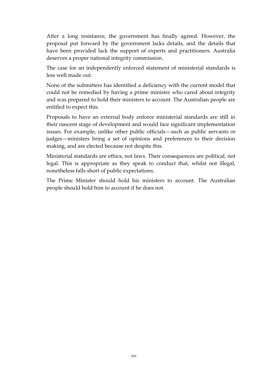After a long resistance, the government has finally agreed. However, the proposal put forward by the government lacks details, and the details that have been provided lack the support of experts and practitioners. Australia deserves a proper national integrity commission.

The case for an independently enforced statement of ministerial standards is less well made out.

None of the submitters has identified a deficiency with the current model that could not be remedied by having a prime minister who cared about integrity and was prepared to hold their ministers to account. The Australian people are entitled to expect this.

Proposals to have an external body enforce ministerial standards are still in their nascent stage of development and would face significant implementation issues. For example, unlike other public officials—such as public servants or judges—ministers bring a set of opinions and preferences to their decision making, and are elected because not despite this.

Ministerial standards are ethics, not laws. Their consequences are political, not legal. This is appropriate as they speak to conduct that, whilst not illegal, nonetheless falls short of public expectations.

The Prime Minister should hold his ministers to account. The Australian people should hold him to account if he does not.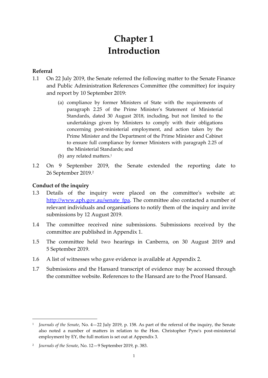## **Chapter 1 Introduction**

#### <span id="page-14-0"></span>**Referral**

- 1.1 On 22 July 2019, the Senate referred the following matter to the Senate Finance and Public Administration References Committee (the committee) for inquiry and report by 10 September 2019:
	- (a) compliance by former Ministers of State with the requirements of paragraph 2.25 of the Prime Minister's Statement of Ministerial Standards, dated 30 August 2018, including, but not limited to the undertakings given by Ministers to comply with their obligations concerning post-ministerial employment, and action taken by the Prime Minister and the Department of the Prime Minister and Cabinet to ensure full compliance by former Ministers with paragraph 2.25 of the Ministerial Standards; and
	- (b) any related matters.<sup>1</sup>
- 1.2 On 9 September 2019, the Senate extended the reporting date to 26 September 2019.<sup>2</sup>

#### **Conduct of the inquiry**

-

- 1.3 Details of the inquiry were placed on the committee's website at: [http://www.aph.gov.au/senate\\_fpa.](http://www.aph.gov.au/senate_fpa) The committee also contacted a number of relevant individuals and organisations to notify them of the inquiry and invite submissions by 12 August 2019.
- 1.4 The committee received nine submissions. Submissions received by the committee are published in Appendix 1.
- 1.5 The committee held two hearings in Canberra, on 30 August 2019 and 5 September 2019.
- 1.6 A list of witnesses who gave evidence is available at Appendix 2.
- 1.7 Submissions and the Hansard transcript of evidence may be accessed through the committee website. References to the Hansard are to the Proof Hansard.

<sup>1</sup> *Journals of the Senate*, No. 4—22 July 2019, p. 158. As part of the referral of the inquiry, the Senate also noted a number of matters in relation to the Hon. Christopher Pyne's post-ministerial employment by EY, the full motion is set out at Appendix 3.

<sup>2</sup> *Journals of the Senate*, No. 12—9 September 2019, p. 383.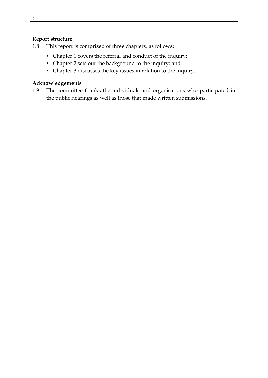#### **Report structure**

- 1.8 This report is comprised of three chapters, as follows:
	- Chapter 1 covers the referral and conduct of the inquiry;
	- Chapter 2 sets out the background to the inquiry; and
	- Chapter 3 discusses the key issues in relation to the inquiry.

#### **Acknowledgements**

1.9 The committee thanks the individuals and organisations who participated in the public hearings as well as those that made written submissions.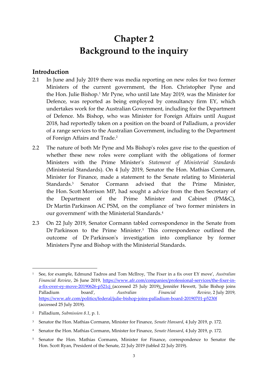## **Chapter 2 Background to the inquiry**

## <span id="page-16-1"></span><span id="page-16-0"></span>**Introduction**

- 2.1 In June and July 2019 there was media reporting on new roles for two former Ministers of the current government, the Hon. Christopher Pyne and the Hon. Julie Bishop.<sup>1</sup> Mr Pyne, who until late May 2019, was the Minister for Defence, was reported as being employed by consultancy firm EY, which undertakes work for the Australian Government, including for the Department of Defence. Ms Bishop, who was Minister for Foreign Affairs until August 2018, had reportedly taken on a position on the board of Palladium, a provider of a range services to the Australian Government, including to the Department of Foreign Affairs and Trade.<sup>2</sup>
- 2.2 The nature of both Mr Pyne and Ms Bishop's roles gave rise to the question of whether these new roles were compliant with the obligations of former Ministers with the Prime Minister's *Statement of Ministerial Standards*  (Ministerial Standards). On 4 July 2019, Senator the Hon. Mathias Cormann, Minister for Finance, made a statement to the Senate relating to Ministerial Standards.<sup>3</sup> Senator Cormann advised that the Prime Minister, the Hon. Scott Morrison MP, had sought a advice from the then Secretary of the Department of the Prime Minister and Cabinet (PM&C), Dr Martin Parkinson AC PSM, on the compliance of 'two former ministers in our government' with the Ministerial Standards.<sup>4</sup>
- 2.3 On 22 July 2019, Senator Cormann tabled correspondence in the Senate from Dr Parkinson to the Prime Minister.<sup>5</sup> This correspondence outlined the outcome of Dr Parkinson's investigation into compliance by former Ministers Pyne and Bishop with the Ministerial Standards.

<sup>4</sup> Senator the Hon. Mathias Cormann, Minister for Finance, *Senate Hansard*, 4 July 2019, p. 172.

<sup>-</sup><sup>1</sup> See, for example, Edmund Tadros and Tom McIlroy, 'The Fixer in a fix over EY move', *Australian Financial Review*, 26 June 2019, [https://www.afr.com/companies/professional-services/the-fixer-in](https://www.afr.com/companies/professional-services/the-fixer-in-a-fix-over-ey-move-20190626-p521cj)[a-fix-over-ey-move-20190626-p521cj](https://www.afr.com/companies/professional-services/the-fixer-in-a-fix-over-ey-move-20190626-p521cj) (accessed 25 July 2019); Jennifer Hewett, 'Julie Bishop joins Palladium board', *Australian Financial Review*, 2 July 2019, <https://www.afr.com/politics/federal/julie-bishop-joins-palladium-board-20190701-p5230f> (accessed 25 July 2019).

<sup>2</sup> Palladium, *Submission 8.1*, p. 1.

<sup>3</sup> Senator the Hon. Mathias Cormann, Minister for Finance, *Senate Hansard*, 4 July 2019, p. 172.

<sup>&</sup>lt;sup>5</sup> Senator the Hon. Mathias Cormann, Minister for Finance, correspondence to Senator the Hon. Scott Ryan, President of the Senate, 22 July 2019 (tabled 22 July 2019).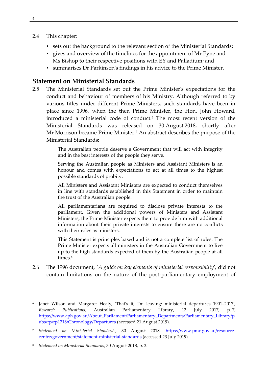- 2.4 This chapter:
	- sets out the background to the relevant section of the Ministerial Standards;
	- gives and overview of the timelines for the appointment of Mr Pyne and Ms Bishop to their respective positions with EY and Palladium; and
	- summarises Dr Parkinson's findings in his advice to the Prime Minister.

## <span id="page-17-0"></span>**Statement on Ministerial Standards**

2.5 The Ministerial Standards set out the Prime Minister's expectations for the conduct and behaviour of members of his Ministry. Although referred to by various titles under different Prime Ministers, such standards have been in place since 1996, when the then Prime Minister, the Hon. John Howard, introduced a ministerial code of conduct.<sup>6</sup> The most recent version of the Ministerial Standards was released on 30 August 2018, shortly after Mr Morrison became Prime Minister.<sup>7</sup> An abstract describes the purpose of the Ministerial Standards:

> The Australian people deserve a Government that will act with integrity and in the best interests of the people they serve.

> Serving the Australian people as Ministers and Assistant Ministers is an honour and comes with expectations to act at all times to the highest possible standards of probity.

> All Ministers and Assistant Ministers are expected to conduct themselves in line with standards established in this Statement in order to maintain the trust of the Australian people.

> All parliamentarians are required to disclose private interests to the parliament. Given the additional powers of Ministers and Assistant Ministers, the Prime Minister expects them to provide him with additional information about their private interests to ensure there are no conflicts with their roles as ministers.

> This Statement is principles based and is not a complete list of rules. The Prime Minister expects all ministers in the Australian Government to live up to the high standards expected of them by the Australian people at all times.<sup>8</sup>

2.6 The 1996 document, *'A guide on key elements of ministerial responsibility*', did not contain limitations on the nature of the post-parliamentary employment of

<sup>6</sup> Janet Wilson and Margaret Healy, 'That's it, I'm leaving: ministerial departures 1901–2017', *Research Publications*, Australian Parliamentary Library, 12 July 2017, p. 7, [https://www.aph.gov.au/About\\_Parliament/Parliamentary\\_Departments/Parliamentary\\_Library/p](https://www.aph.gov.au/About_Parliament/Parliamentary_Departments/Parliamentary_Library/pubs/rp/rp1718/Chronology/Departures) [ubs/rp/rp1718/Chronology/Departures](https://www.aph.gov.au/About_Parliament/Parliamentary_Departments/Parliamentary_Library/pubs/rp/rp1718/Chronology/Departures) (accessed 21 August 2019).

<sup>7</sup> *Statement on Ministerial Standards*, 30 August 2018, [https://www.pmc.gov.au/resource](https://www.pmc.gov.au/resource-centre/government/statement-ministerial-standards)[centre/government/statement-ministerial-standards](https://www.pmc.gov.au/resource-centre/government/statement-ministerial-standards) (accessed 23 July 2019).

<sup>8</sup> *Statement on Ministerial Standards*, 30 August 2018, p. 3.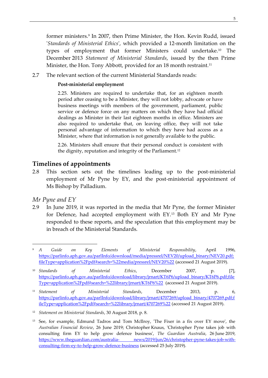former ministers.<sup>9</sup> In 2007, then Prime Minister, the Hon. Kevin Rudd, issued '*Standards of Ministerial Ethics*', which provided a 12-month limitation on the types of employment that former Ministers could undertake.<sup>10</sup> The December 2013 *Statement of Ministerial Standards*, issued by the then Prime Minister, the Hon. Tony Abbott, provided for an 18 month restraint.<sup>11</sup>

2.7 The relevant section of the current Ministerial Standards reads:

#### **Post-ministerial employment**

2.25. Ministers are required to undertake that, for an eighteen month period after ceasing to be a Minister, they will not lobby, advocate or have business meetings with members of the government, parliament, public service or defence force on any matters on which they have had official dealings as Minister in their last eighteen months in office. Ministers are also required to undertake that, on leaving office, they will not take personal advantage of information to which they have had access as a Minister, where that information is not generally available to the public.

2.26. Ministers shall ensure that their personal conduct is consistent with the dignity, reputation and integrity of the Parliament.<sup>12</sup>

## <span id="page-18-0"></span>**Timelines of appointments**

2.8 This section sets out the timelines leading up to the post-ministerial employment of Mr Pyne by EY, and the post-ministerial appointment of Ms Bishop by Palladium.

#### <span id="page-18-1"></span>*Mr Pyne and EY*

1

2.9 In June 2019, it was reported in the media that Mr Pyne, the former Minister for Defence, had accepted employment with EY.<sup>13</sup> Both EY and Mr Pyne responded to these reports, and the speculation that this employment may be in breach of the Ministerial Standards.

<sup>9</sup> *A Guide on Key Elements of Ministerial Responsibility*, April 1996, [https://parlinfo.aph.gov.au/parlInfo/download/media/pressrel/NEV20/upload\\_binary/NEV20.pdf;](https://parlinfo.aph.gov.au/parlInfo/download/media/pressrel/NEV20/upload_binary/NEV20.pdf;fileType=application%2Fpdf) [fileType=application%2Fpdf#search=%22media/pressrel/NEV20%22](https://parlinfo.aph.gov.au/parlInfo/download/media/pressrel/NEV20/upload_binary/NEV20.pdf;fileType=application%2Fpdf) (accessed 21 August 2019).

<sup>10</sup> *Standards of Ministerial Ethics*, December 2007, p. [7], [https://parlinfo.aph.gov.au/parlInfo/download/library/jrnart/KT6P6/upload\\_binary/KT6P6.pdf;file](https://parlinfo.aph.gov.au/parlInfo/download/library/jrnart/KT6P6/upload_binary/KT6P6.pdf;fileType=application%2Fpdf) [Type=application%2Fpdf#search=%22library/jrnart/KT6P6%22](https://parlinfo.aph.gov.au/parlInfo/download/library/jrnart/KT6P6/upload_binary/KT6P6.pdf;fileType=application%2Fpdf) (accessed 21 August 2019).

<sup>11</sup> *Statement of Ministerial Standards*, December 2013, p. 6, [https://parlinfo.aph.gov.au/parlInfo/download/library/jrnart/4707269/upload\\_binary/4707269.pdf;f](https://parlinfo.aph.gov.au/parlInfo/download/library/jrnart/4707269/upload_binary/4707269.pdf;fileType=application%2Fpdf) [ileType=application%2Fpdf#search=%22library/jrnart/4707269%22](https://parlinfo.aph.gov.au/parlInfo/download/library/jrnart/4707269/upload_binary/4707269.pdf;fileType=application%2Fpdf) (accessed 21 August 2019).

<sup>12</sup> *Statement on Ministerial Standards*, 30 August 2018, p. 8.

<sup>13</sup> See, for example, Edmund Tadros and Tom McIlroy, 'The Fixer in a fix over EY move', the *Australian Financial Review*, 26 June 2019; Christopher Knaus, 'Christopher Pyne takes job with consulting firm EY to help grow defence business', *The Guardian Australia*, 26 June 2019, https://www.theguardian.com/australia- [news/2019/jun/26/christopher-pyne-takes-job-with](https://www.theguardian.com/australia-%20news/2019/jun/26/christopher-pyne-takes-job-with-consulting-firm-ey-to-help-grow-defence-business)[consulting-firm-ey-to-help-grow-defence-business](https://www.theguardian.com/australia-%20news/2019/jun/26/christopher-pyne-takes-job-with-consulting-firm-ey-to-help-grow-defence-business) (accessed 25 July 2019).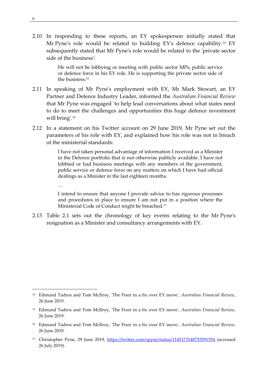2.10 In responding to these reports, an EY spokesperson initially stated that Mr Pyne's role would be related to building EY's defence capability.<sup>14</sup> EY subsequently stated that Mr Pyne's role would be related to the 'private sector side of the business':

> He will not be lobbying or meeting with public sector MPs, public service or defence force in his EY role. He is supporting the private sector side of the business.<sup>15</sup>

- 2.11 In speaking of Mr Pyne's employment with EY, Mr Mark Stewart, an EY Partner and Defence Industry Leader, informed the *Australian Financial Review* that Mr Pyne was engaged 'to help lead conversations about what states need to do to meet the challenges and opportunities this huge defence investment will bring'.<sup>16</sup>
- 2.12 In a statement on his Twitter account on 29 June 2019, Mr Pyne set out the parameters of his role with EY, and explained how his role was not in breach of the ministerial standards:

I have not taken personal advantage of information I received as a Minister in the Defence portfolio that is not otherwise publicly available. I have not lobbied or had business meetings with any members of the government, public service or defence force on any matters on which I have had official dealings as a Minister in the last eighteen months.

…

1

I intend to ensure that anyone I provide advice to has rigorous processes and procedures in place to ensure I am not put in a position where the Ministerial Code of Conduct might be breached.<sup>17</sup>

2.13 Table 2.1 sets out the chronology of key events relating to the Mr Pyne's resignation as a Minister and consultancy arrangements with EY.

<sup>14</sup> Edmund Tadros and Tom McIlroy, 'The Fixer in a fix over EY move', *Australian Financial Review*, 26 June 2019.

<sup>15</sup> Edmund Tadros and Tom McIlroy, 'The Fixer in a fix over EY move', *Australian Financial Review*, 26 June 2019.

<sup>16</sup> Edmund Tadros and Tom McIlroy, 'The Fixer in a fix over EY move', *Australian Financial Review*, 26 June 2019.

<sup>&</sup>lt;sup>17</sup> Christopher Pyne, 29 June 2019,<https://twitter.com/cpyne/status/1145173148733591554> (accessed 26 July 2019).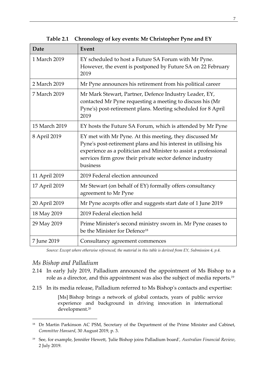| Date          | Event                                                                                                                                                                                                                                                                 |
|---------------|-----------------------------------------------------------------------------------------------------------------------------------------------------------------------------------------------------------------------------------------------------------------------|
| 1 March 2019  | EY scheduled to host a Future SA Forum with Mr Pyne.<br>However, the event is postponed by Future SA on 22 February<br>2019                                                                                                                                           |
| 2 March 2019  | Mr Pyne announces his retirement from his political career                                                                                                                                                                                                            |
| 7 March 2019  | Mr Mark Stewart, Partner, Defence Industry Leader, EY,<br>contacted Mr Pyne requesting a meeting to discuss his (Mr<br>Pyne's) post-retirement plans. Meeting scheduled for 8 April<br>2019                                                                           |
| 15 March 2019 | EY hosts the Future SA Forum, which is attended by Mr Pyne                                                                                                                                                                                                            |
| 8 April 2019  | EY met with Mr Pyne. At this meeting, they discussed Mr<br>Pyne's post-retirement plans and his interest in utilising his<br>experience as a politician and Minister to assist a professional<br>services firm grow their private sector defence industry<br>business |
| 11 April 2019 | 2019 Federal election announced                                                                                                                                                                                                                                       |
| 17 April 2019 | Mr Stewart (on behalf of EY) formally offers consultancy<br>agreement to Mr Pyne                                                                                                                                                                                      |
| 20 April 2019 | Mr Pyne accepts offer and suggests start date of 1 June 2019                                                                                                                                                                                                          |
| 18 May 2019   | 2019 Federal election held                                                                                                                                                                                                                                            |
| 29 May 2019   | Prime Minister's second ministry sworn in. Mr Pyne ceases to<br>be the Minister for Defence <sup>18</sup>                                                                                                                                                             |
| 7 June 2019   | Consultancy agreement commences                                                                                                                                                                                                                                       |

**Table 2.1 Chronology of key events: Mr Christopher Pyne and EY**

*Source: Except where otherwise referenced, the material in this table is derived from EY, Submission 4, p.4.* 

#### <span id="page-20-0"></span>*Ms Bishop and Palladium*

-

- 2.14 In early July 2019, Palladium announced the appointment of Ms Bishop to a role as a director, and this appointment was also the subject of media reports.<sup>19</sup>
- 2.15 In its media release, Palladium referred to Ms Bishop's contacts and expertise:

[Ms] Bishop brings a network of global contacts, years of public service experience and background in driving innovation in international development.<sup>20</sup>

<sup>&</sup>lt;sup>18</sup> Dr Martin Parkinson AC PSM, Secretary of the Department of the Prime Minister and Cabinet, *Committee Hansard*, 30 August 2019, p. 3.

<sup>19</sup> See, for example, Jennifer Hewett, 'Julie Bishop joins Palladium board', *Australian Financial Review*, 2 July 2019.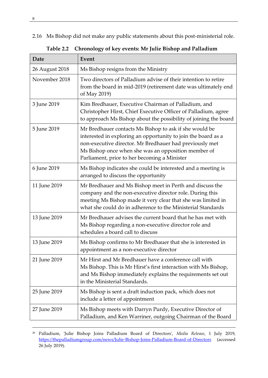2.16 Ms Bishop did not make any public statements about this post-ministerial role.

| Date           | Event                                                                                                                                                                                                                                                                                     |
|----------------|-------------------------------------------------------------------------------------------------------------------------------------------------------------------------------------------------------------------------------------------------------------------------------------------|
| 26 August 2018 | Ms Bishop resigns from the Ministry                                                                                                                                                                                                                                                       |
| November 2018  | Two directors of Palladium advise of their intention to retire<br>from the board in mid-2019 (retirement date was ultimately end<br>of May 2019)                                                                                                                                          |
| 3 June 2019    | Kim Bredhauer, Executive Chairman of Palladium, and<br>Christopher Hirst, Chief Executive Officer of Palladium, agree<br>to approach Ms Bishop about the possibility of joining the board                                                                                                 |
| 5 June 2019    | Mr Bredhauer contacts Ms Bishop to ask if she would be<br>interested in exploring an opportunity to join the board as a<br>non-executive director. Mr Bredhauer had previously met<br>Ms Bishop once when she was an opposition member of<br>Parliament, prior to her becoming a Minister |
| 6 June 2019    | Ms Bishop indicates she could be interested and a meeting is<br>arranged to discuss the opportunity                                                                                                                                                                                       |
| 11 June 2019   | Mr Bredhauer and Ms Bishop meet in Perth and discuss the<br>company and the non-executive director role. During this<br>meeting Ms Bishop made it very clear that she was limited in<br>what she could do in adherence to the Ministerial Standards                                       |
| 13 June 2019   | Mr Bredhauer advises the current board that he has met with<br>Ms Bishop regarding a non-executive director role and<br>schedules a board call to discuss                                                                                                                                 |
| 13 June 2019   | Ms Bishop confirms to Mr Bredhauer that she is interested in<br>appointment as a non-executive director                                                                                                                                                                                   |
| 21 June 2019   | Mr Hirst and Mr Bredhauer have a conference call with<br>Ms Bishop. This is Mr Hirst's first interaction with Ms Bishop,<br>and Ms Bishop immediately explains the requirements set out<br>in the Ministerial Standards.                                                                  |
| 25 June 2019   | Ms Bishop is sent a draft induction pack, which does not<br>include a letter of appointment                                                                                                                                                                                               |
| 27 June 2019   | Ms Bishop meets with Darryn Purdy, Executive Director of<br>Palladium, and Ken Warriner, outgoing Chairman of the Board                                                                                                                                                                   |

| Table 2.2 Chronology of key events: Mr Julie Bishop and Palladium |  |  |
|-------------------------------------------------------------------|--|--|
|                                                                   |  |  |

<sup>20</sup> Palladium, 'Julie Bishop Joins Palladium Board of Directors', *Media Release*, 1 July 2019, <https://thepalladiumgroup.com/news/Julie-Bishop-Joins-Palladium-Board-of-Directors> (accessed 26 July 2019).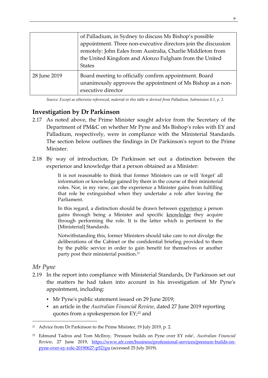|              | of Palladium, in Sydney to discuss Ms Bishop's possible<br>appointment. Three non-executive directors join the discussion<br>remotely: John Eales from Australia, Charlie Middleton from<br>the United Kingdom and Alonzo Fulgham from the United<br><b>States</b> |
|--------------|--------------------------------------------------------------------------------------------------------------------------------------------------------------------------------------------------------------------------------------------------------------------|
| 28 June 2019 | Board meeting to officially confirm appointment. Board<br>unanimously approves the appointment of Ms Bishop as a non-<br>executive director                                                                                                                        |

*Source: Except as otherwise referenced, material in this table is derived from Palladium, Submission 8.1, p. 2.*

## <span id="page-22-0"></span>**Investigation by Dr Parkinson**

- 2.17 As noted above, the Prime Minister sought advice from the Secretary of the Department of PM&C on whether Mr Pyne and Ms Bishop's roles with EY and Palladium, respectively, were in compliance with the Ministerial Standards. The section below outlines the findings in Dr Parkinson's report to the Prime Minister.
- 2.18 By way of introduction, Dr Parkinson set out a distinction between the experience and knowledge that a person obtained as a Minister:

It is not reasonable to think that former Ministers can or will 'forget' all information or knowledge gained by them in the course of their ministerial roles. Nor, in my view, can the experience a Minister gains from fulfilling that role be extinguished when they undertake a role after leaving the Parliament.

In this regard, a distinction should be drawn between experience a person gains through being a Minister and specific knowledge they acquire through performing the role. It is the latter which is pertinent to the [Ministerial] Standards.

Notwithstanding this, former Ministers should take care to not divulge the deliberations of the Cabinet or the confidential briefing provided to them by the public service in order to gain benefit for themselves or another party post their ministerial position.<sup>21</sup>

## <span id="page-22-1"></span>*Mr Pyne*

- 2.19 In the report into compliance with Ministerial Standards, Dr Parkinson set out the matters he had taken into account in his investigation of Mr Pyne's appointment, including:
	- Mr Pyne's public statement issued on 29 June 2019;
	- an article in the *Australian Financial Review*, dated 27 June 2019 reporting quotes from a spokesperson for  $EY;^{22}$  and

<sup>&</sup>lt;sup>21</sup> Advice from Dr Parkinson to the Prime Minister, 19 July 2019, p. 2.

<sup>22</sup> Edmund Tadros and Tom McIlroy, 'Pressure builds on Pyne over EY role', *Australian Financial Review*, 27 June 2019, [https://www.afr.com/business/professional-services/pressure-builds-on](https://www.afr.com/business/professional-services/pressure-builds-on-pyne-over-ey-role-20190627-p521pa)[pyne-over-ey-role-20190627-p521pa](https://www.afr.com/business/professional-services/pressure-builds-on-pyne-over-ey-role-20190627-p521pa) (accessed 25 July 2019).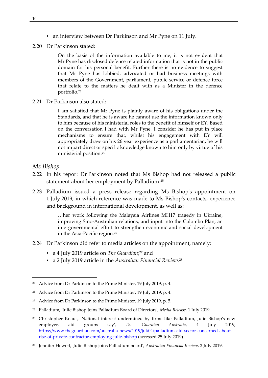- an interview between Dr Parkinson and Mr Pyne on 11 July.
- 2.20 Dr Parkinson stated:

On the basis of the information available to me, it is not evident that Mr Pyne has disclosed defence related information that is not in the public domain for his personal benefit. Further there is no evidence to suggest that Mr Pyne has lobbied, advocated or had business meetings with members of the Government, parliament, public service or defence force that relate to the matters he dealt with as a Minister in the defence portfolio.<sup>23</sup>

2.21 Dr Parkinson also stated:

I am satisfied that Mr Pyne is plainly aware of his obligations under the Standards, and that he is aware he cannot use the information known only to him because of his ministerial roles to the benefit of himself or EY. Based on the conversation I had with Mr Pyne, I consider he has put in place mechanisms to ensure that, whilst his engagement with EY will appropriately draw on his 26 year experience as a parliamentarian, he will not impart direct or specific knowledge known to him only by virtue of his ministerial position.<sup>24</sup>

#### <span id="page-23-0"></span>*Ms Bishop*

1

- 2.22 In his report Dr Parkinson noted that Ms Bishop had not released a public statement about her employment by Palladium.<sup>25</sup>
- 2.23 Palladium issued a press release regarding Ms Bishop's appointment on 1 July 2019, in which reference was made to Ms Bishop's contacts, experience and background in international development, as well as:

…her work following the Malaysia Airlines MH17 tragedy in Ukraine, improving Sino-Australian relations, and input into the Colombo Plan, an intergovernmental effort to strengthen economic and social development in the Asia-Pacific region.<sup>26</sup>

- 2.24 Dr Parkinson did refer to media articles on the appointment, namely:
	- a 4 July 2019 article on *The Guardian*;<sup>27</sup> and
	- a 2 July 2019 article in the *Australian Financial Review*. 28

<sup>&</sup>lt;sup>23</sup> Advice from Dr Parkinson to the Prime Minister, 19 July 2019, p. 4.

<sup>24</sup> Advice from Dr Parkinson to the Prime Minister, 19 July 2019, p. 4.

<sup>&</sup>lt;sup>25</sup> Advice from Dr Parkinson to the Prime Minister, 19 July 2019, p. 5.

<sup>26</sup> Palladium, 'Julie Bishop Joins Palladium Board of Directors', *Media Release*, 1 July 2019.

<sup>27</sup> Christopher Knaus, 'National interest undermined by firms like Palladium, Julie Bishop's new employer, aid groups say', *The Guardian Australia*, 4 July 2019, [https://www.theguardian.com/australia-news/2019/jul/04/palladium-aid-sector-concerned-about](https://www.theguardian.com/australia-news/2019/jul/04/palladium-aid-sector-concerned-about-rise-of-private-contractor-employing-julie-bishop)[rise-of-private-contractor-employing-julie-bishop](https://www.theguardian.com/australia-news/2019/jul/04/palladium-aid-sector-concerned-about-rise-of-private-contractor-employing-julie-bishop) (accessed 25 July 2019).

<sup>28</sup> Jennifer Hewett, 'Julie Bishop joins Palladium board', *Australian Financial Review*, 2 July 2019.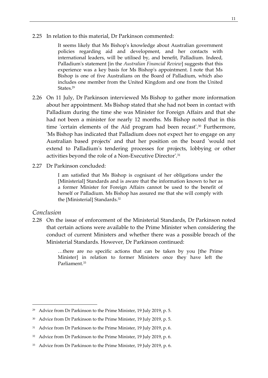2.25 In relation to this material, Dr Parkinson commented:

It seems likely that Ms Bishop's knowledge about Australian government policies regarding aid and development, and her contacts with international leaders, will be utilised by, and benefit, Palladium. Indeed, Palladium's statement [in the *Australian Financial Review*] suggests that this experience was a key basis for Ms Bishop's appointment. I note that Ms Bishop is one of five Australians on the Board of Palladium, which also includes one member from the United Kingdom and one from the United States.<sup>29</sup>

- 2.26 On 11 July, Dr Parkinson interviewed Ms Bishop to gather more information about her appointment. Ms Bishop stated that she had not been in contact with Palladium during the time she was Minister for Foreign Affairs and that she had not been a minister for nearly 12 months. Ms Bishop noted that in this time 'certain elements of the Aid program had been recast'.<sup>30</sup> Furthermore, 'Ms Bishop has indicated that Palladium does not expect her to engage on any Australian based projects' and that her position on the board 'would not extend to Palladium's tendering processes for projects, lobbying or other activities beyond the role of a Non-Executive Director'.<sup>31</sup>
- 2.27 Dr Parkinson concluded:

I am satisfied that Ms Bishop is cognisant of her obligations under the [Ministerial] Standards and is aware that the information known to her as a former Minister for Foreign Affairs cannot be used to the benefit of herself or Palladium. Ms Bishop has assured me that she will comply with the [Ministerial] Standards.<sup>32</sup>

#### <span id="page-24-0"></span>*Conclusion*

1

2.28 On the issue of enforcement of the Ministerial Standards, Dr Parkinson noted that certain actions were available to the Prime Minister when considering the conduct of current Ministers and whether there was a possible breach of the Ministerial Standards. However, Dr Parkinson continued:

> …there are no specific actions that can be taken by you [the Prime Minister] in relation to former Ministers once they have left the Parliament.<sup>33</sup>

<sup>&</sup>lt;sup>29</sup> Advice from Dr Parkinson to the Prime Minister, 19 July 2019, p. 5.

<sup>&</sup>lt;sup>30</sup> Advice from Dr Parkinson to the Prime Minister, 19 July 2019, p. 5.

<sup>&</sup>lt;sup>31</sup> Advice from Dr Parkinson to the Prime Minister, 19 July 2019, p. 6.

<sup>&</sup>lt;sup>32</sup> Advice from Dr Parkinson to the Prime Minister, 19 July 2019, p. 6.

<sup>&</sup>lt;sup>33</sup> Advice from Dr Parkinson to the Prime Minister, 19 July 2019, p. 6.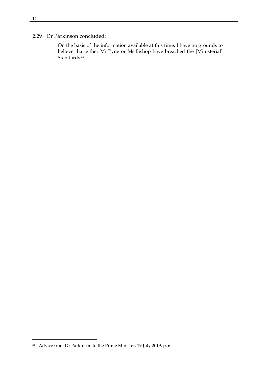#### 2.29 Dr Parkinson concluded:

On the basis of the information available at this time, I have no grounds to believe that either Mr Pyne or Ms Bishop have breached the [Ministerial] Standards.<sup>34</sup>

<sup>34</sup> Advice from Dr Parkinson to the Prime Minister, 19 July 2019, p. 6.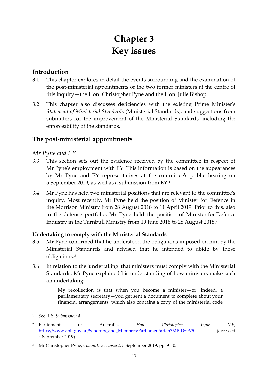# **Chapter 3 Key issues**

## <span id="page-26-1"></span><span id="page-26-0"></span>**Introduction**

- 3.1 This chapter explores in detail the events surrounding and the examination of the post-ministerial appointments of the two former ministers at the centre of this inquiry—the Hon. Christopher Pyne and the Hon. Julie Bishop.
- 3.2 This chapter also discusses deficiencies with the existing Prime Minister's *Statement of Ministerial Standards* (Ministerial Standards), and suggestions from submitters for the improvement of the Ministerial Standards, including the enforceability of the standards.

## <span id="page-26-2"></span>**The post-ministerial appointments**

## <span id="page-26-3"></span>*Mr Pyne and EY*

- 3.3 This section sets out the evidence received by the committee in respect of Mr Pyne's employment with EY. This information is based on the appearances by Mr Pyne and EY representatives at the committee's public hearing on 5 September 2019, as well as a submission from EY.<sup>1</sup>
- 3.4 Mr Pyne has held two ministerial positions that are relevant to the committee's inquiry. Most recently, Mr Pyne held the position of Minister for Defence in the Morrison Ministry from 28 August 2018 to 11 April 2019. Prior to this, also in the defence portfolio, Mr Pyne held the position of Minister for Defence Industry in the Turnbull Ministry from 19 June 2016 to 28 August 2018.<sup>2</sup>

#### **Undertaking to comply with the Ministerial Standards**

- 3.5 Mr Pyne confirmed that he understood the obligations imposed on him by the Ministerial Standards and advised that he intended to abide by those obligations.<sup>3</sup>
- 3.6 In relation to the 'undertaking' that ministers must comply with the Ministerial Standards, Mr Pyne explained his understanding of how ministers make such an undertaking:

My recollection is that when you become a minister—or, indeed, a parliamentary secretary—you get sent a document to complete about your financial arrangements, which also contains a copy of the ministerial code

<sup>1</sup> See: EY, *Submission 4*.

<sup>2</sup> Parliament of Australia, *Hon Christopher Pyne MP*, [https://www.aph.gov.au/Senators\\_and\\_Members/Parliamentarian?MPID=9V5](https://www.aph.gov.au/Senators_and_Members/Parliamentarian?MPID=9V5) (accessed 4 September 2019).

<sup>3</sup> Mr Christopher Pyne, *Committee Hansard*, 5 September 2019, pp. 9-10.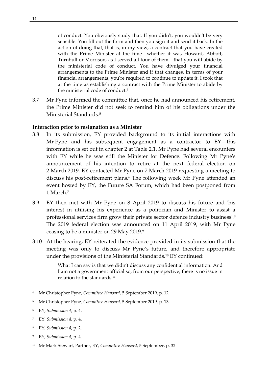of conduct. You obviously study that. If you didn't, you wouldn't be very sensible. You fill out the form and then you sign it and send it back. In the action of doing that, that is, in my view, a contract that you have created with the Prime Minister at the time—whether it was Howard, Abbott, Turnbull or Morrison, as I served all four of them—that you will abide by the ministerial code of conduct. You have divulged your financial arrangements to the Prime Minister and if that changes, in terms of your financial arrangements, you're required to continue to update it. I took that at the time as establishing a contract with the Prime Minister to abide by the ministerial code of conduct.<sup>4</sup>

3.7 Mr Pyne informed the committee that, once he had announced his retirement, the Prime Minister did not seek to remind him of his obligations under the Ministerial Standards.<sup>5</sup>

#### **Interaction prior to resignation as a Minister**

- 3.8 In its submission, EY provided background to its initial interactions with Mr Pyne and his subsequent engagement as a contractor to  $EY$ —this information is set out in chapter 2 at Table 2.1. Mr Pyne had several encounters with EY while he was still the Minister for Defence. Following Mr Pyne's announcement of his intention to retire at the next federal election on 2 March 2019, EY contacted Mr Pyne on 7 March 2019 requesting a meeting to discuss his post-retirement plans.<sup>6</sup> The following week Mr Pyne attended an event hosted by EY, the Future SA Forum, which had been postponed from 1 March.<sup>7</sup>
- 3.9 EY then met with Mr Pyne on 8 April 2019 to discuss his future and 'his interest in utilising his experience as a politician and Minister to assist a professional services firm grow their private sector defence industry business'.<sup>8</sup> The 2019 federal election was announced on 11 April 2019, with Mr Pyne ceasing to be a minister on 29 May 2019.9
- 3.10 At the hearing, EY reiterated the evidence provided in its submission that the meeting was only to discuss Mr Pyne's future, and therefore appropriate under the provisions of the Ministerial Standards.<sup>10</sup> EY continued:

What I can say is that we didn't discuss any confidential information. And I am not a government official so, from our perspective, there is no issue in relation to the standards.<sup>11</sup>

- <sup>7</sup> EY, *Submission 4*, p. 4.
- <sup>8</sup> EY, *Submission 4*, p. 2.
- <sup>9</sup> EY, *Submission 4*, p. 4.

<sup>4</sup> Mr Christopher Pyne, *Committee Hansard*, 5 September 2019, p. 12.

<sup>5</sup> Mr Christopher Pyne, *Committee Hansard*, 5 September 2019, p. 13.

<sup>6</sup> EY, *Submission 4*, p. 4.

<sup>10</sup> Mr Mark Stewart, Partner, EY, *Committee Hansard*, 5 September, p. 32.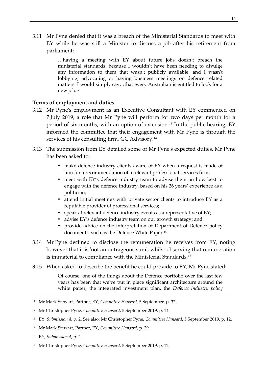3.11 Mr Pyne denied that it was a breach of the Ministerial Standards to meet with EY while he was still a Minister to discuss a job after his retirement from parliament:

> …having a meeting with EY about future jobs doesn't breach the ministerial standards, because I wouldn't have been needing to divulge any information to them that wasn't publicly available, and I wasn't lobbying, advocating or having business meetings on defence related matters. I would simply say…that every Australian is entitled to look for a new job.<sup>12</sup>

#### **Terms of employment and duties**

- 3.12 Mr Pyne's employment as an Executive Consultant with EY commenced on 7 July 2019, a role that Mr Pyne will perform for two days per month for a period of six months, with an option of extension.<sup>13</sup> In the public hearing, EY informed the committee that their engagement with Mr Pyne is through the services of his consulting firm, GC Advisory.<sup>14</sup>
- 3.13 The submission from EY detailed some of Mr Pyne's expected duties. Mr Pyne has been asked to:
	- make defence industry clients aware of EY when a request is made of him for a recommendation of a relevant professional services firm;
	- meet with EY's defence industry team to advise them on how best to engage with the defence industry, based on his 26 years' experience as a politician;
	- attend initial meetings with private sector clients to introduce EY as a reputable provider of professional services;
	- speak at relevant defence industry events as a representative of EY;
	- advise EY's defence industry team on our growth strategy; and
	- provide advice on the interpretation of Department of Defence policy documents, such as the Defence White Paper.<sup>15</sup>
- 3.14 Mr Pyne declined to disclose the remuneration he receives from EY, noting however that it is 'not an outrageous sum', whilst observing that remuneration is immaterial to compliance with the Ministerial Standards.<sup>16</sup>
- 3.15 When asked to describe the benefit he could provide to EY, Mr Pyne stated:

Of course, one of the things about the Defence portfolio over the last few years has been that we've put in place significant architecture around the white paper, the integrated investment plan, the *Defence industry policy* 

<sup>11</sup> Mr Mark Stewart, Partner, EY, *Committee Hansard*, 5 September, p. 32.

<sup>12</sup> Mr Christopher Pyne, *Committee Hansard*, 5 September 2019, p. 14.

<sup>13</sup> EY, *Submission 4*, p. 2. See also: Mr Christopher Pyne, *Committee Hansard*, 5 September 2019, p. 12.

<sup>14</sup> Mr Mark Stewart, Partner, EY, *Committee Hansard*, p. 29.

<sup>15</sup> EY, *Submission 4*, p. 2.

<sup>16</sup> Mr Christopher Pyne, *Committee Hansard*, 5 September 2019, p. 12.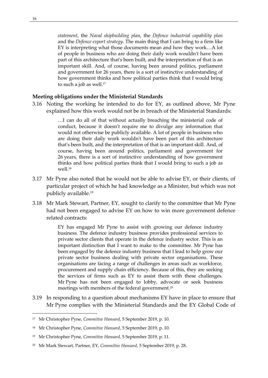*statement*, the *Naval shipbuilding plan*, the *Defence industrial capability plan* and the *Defence export strategy*. The main thing that I can bring to a firm like EY is interpreting what those documents mean and how they work…A lot of people in business who are doing their daily work wouldn't have been part of this architecture that's been built, and the interpretation of that is an important skill. And, of course, having been around politics, parliament and government for 26 years, there is a sort of instinctive understanding of how government thinks and how political parties think that I would bring to such a job as well.<sup>17</sup>

#### **Meeting obligations under the Ministerial Standards**

3.16 Noting the working he intended to do for EY, as outlined above, Mr Pyne explained how this work would not be in breach of the Ministerial Standards:

> …I can do all of that without actually breaching the ministerial code of conduct, because it doesn't require me to divulge any information that would not otherwise be publicly available. A lot of people in business who are doing their daily work wouldn't have been part of this architecture that's been built, and the interpretation of that is an important skill. And, of course, having been around politics, parliament and government for 26 years, there is a sort of instinctive understanding of how government thinks and how political parties think that I would bring to such a job as well.<sup>18</sup>

- 3.17 Mr Pyne also noted that he would not be able to advise EY, or their clients, of particular project of which he had knowledge as a Minister, but which was not publicly available.<sup>19</sup>
- 3.18 Mr Mark Stewart, Partner, EY, sought to clarify to the committee that Mr Pyne had not been engaged to advise EY on how to win more government defence related contracts:

EY has engaged Mr Pyne to assist with growing our defence industry business. The defence industry business provides professional services to private sector clients that operate in the defence industry sector. This is an important distinction that I want to make to the committee. Mr Pyne has been engaged by the defence industry business that I lead to help grow our private sector business dealing with private sector organisations. These organisations are facing a range of challenges in areas such as workforce, procurement and supply chain efficiency. Because of this, they are seeking the services of firms such as EY to assist them with these challenges. Mr Pyne has not been engaged to lobby, advocate or seek business meetings with members of the federal government.<sup>20</sup>

3.19 In responding to a question about mechanisms EY have in place to ensure that Mr Pyne complies with the Ministerial Standards and the EY Global Code of

<sup>17</sup> Mr Christopher Pyne, *Committee Hansard*, 5 September 2019, p. 10.

<sup>18</sup> Mr Christopher Pyne, *Committee Hansard*, 5 September 2019, p. 10.

<sup>19</sup> Mr Christopher Pyne, *Committee Hansard*, 5 September 2019, p. 11.

<sup>20</sup> Mr Mark Stewart, Partner, EY, *Committee Hansard*, 5 September 2019, p. 28.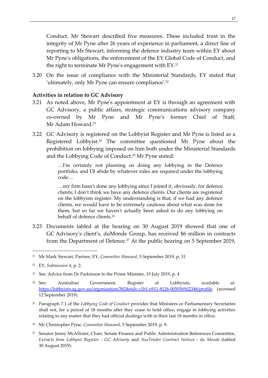Conduct, Mr Stewart described five measures. These included trust in the integrity of Mr Pyne after 26 years of experience in parliament, a direct line of reporting to Mr Stewart, informing the defence industry team within EY about Mr Pyne's obligations, the enforcement of the EY Global Code of Conduct, and the right to terminate Mr Pyne's engagement with EY.<sup>21</sup>

3.20 On the issue of compliance with the Ministerial Standards, EY stated that 'ultimately, only Mr Pyne can ensure compliance'.<sup>22</sup>

#### **Activities in relation to GC Advisory**

- 3.21 As noted above, Mr Pyne's appointment at EY is through an agreement with GC Advisory, a public affairs, strategic communications advisory company co-owned by Mr Pyne and Mr Pyne's former Chief of Staff, Mr Adam Howard.<sup>23</sup>
- 3.22 GC Advisory is registered on the Lobbyist Register and Mr Pyne is listed as a Registered Lobbyist.<sup>24</sup> The committee questioned Mr Pyne about the prohibition on lobbying imposed on him both under the Ministerial Standards and the Lobbying Code of Conduct.<sup>25</sup> Mr Pyne stated:

…I'm certainly not planning on doing any lobbying in the Defence portfolio, and I'll abide by whatever rules are required under the lobbying code…

…my firm hasn't done any lobbying since I joined it, obviously, for defence clients; I don't think we have any defence clients. Our clients are registered on the lobbyists register. My understanding is that, if we had any defence clients, we would have to be extremely cautious about what was done for them, but so far we haven't actually been asked to do any lobbying on behalf of defence clients.<sup>26</sup>

3.23 Documents tabled at the hearing on 30 August 2019 showed that one of GC Advisory's client's, duMonde Group, has received \$6 million in contracts from the Department of Defence.<sup>27</sup> At the public hearing on 5 September 2019,

-

- <sup>25</sup> Paragraph 7.1 of the *Lobbying Code of Conduct* provides that Ministers or Parliamentary Secretaries shall not, for a period of 18 months after they cease to hold office, engage in lobbying activities relating to any matter that they had official dealings with in their last 18 months in office.
- <sup>26</sup> Mr Christopher Pyne, *Committee Hansard*, 5 September 2019, p. 9.

<sup>21</sup> Mr Mark Stewart, Partner, EY, *Committee Hansard*, 5 September 2019, p. 31

<sup>22</sup> EY, *Submission 4*, p. 2.

<sup>&</sup>lt;sup>23</sup> See: Advice from Dr Parkinson to the Prime Minister, 19 July 2019, p. 4

<sup>24</sup> See: Australian Government, Register of Lobbyists, available at: <https://lobbyists.ag.gov.au/organisation/3824e6dc-c1b1-e911-8126-0050569d2348/profile> (accessed 12 September 2019).

<sup>&</sup>lt;sup>27</sup> Senator Jenny McAllister, Chair, Senate Finance and Public Administration References Committee, *Extracts from Lobbyist Register - GC Advisory* and *AusTender Contract Notices - du Monde* (tabled 30 August 2019).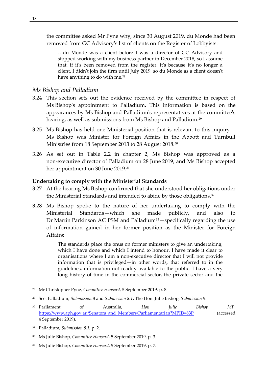the committee asked Mr Pyne why, since 30 August 2019, du Monde had been removed from GC Advisory's list of clients on the Register of Lobbyists:

…du Monde was a client before I was a director of GC Advisory and stopped working with my business partner in December 2018, so I assume that, if it's been removed from the register, it's because it's no longer a client. I didn't join the firm until July 2019, so du Monde as a client doesn't have anything to do with me.<sup>28</sup>

#### <span id="page-31-0"></span>*Ms Bishop and Palladium*

- 3.24 This section sets out the evidence received by the committee in respect of Ms Bishop's appointment to Palladium. This information is based on the appearances by Ms Bishop and Palladium's representatives at the committee's hearing, as well as submissions from Ms Bishop and Palladium.<sup>29</sup>
- 3.25 Ms Bishop has held one Ministerial position that is relevant to this inquiry— Ms Bishop was Minister for Foreign Affairs in the Abbott and Turnbull Ministries from 18 September 2013 to 28 August 2018.<sup>30</sup>
- 3.26 As set out in Table 2.2 in chapter 2, Ms Bishop was approved as a non-executive director of Palladium on 28 June 2019, and Ms Bishop accepted her appointment on 30 June 2019.<sup>31</sup>

#### **Undertaking to comply with the Ministerial Standards**

- 3.27 At the hearing Ms Bishop confirmed that she understood her obligations under the Ministerial Standards and intended to abide by those obligations.<sup>32</sup>
- 3.28 Ms Bishop spoke to the nature of her undertaking to comply with the Ministerial Standards—which she made publicly, and also to Dr Martin Parkinson AC PSM and Palladium<sup>33</sup>—specifically regarding the use of information gained in her former position as the Minister for Foreign Affairs:

The standards place the onus on former ministers to give an undertaking, which I have done and which I intend to honour. I have made it clear to organisations where I am a non-executive director that I will not provide information that is privileged—in other words, that referred to in the guidelines, information not readily available to the public. I have a very long history of time in the commercial sector, the private sector and the

<sup>28</sup> Mr Christopher Pyne, *Committee Hansard*, 5 September 2019, p. 8.

<sup>29</sup> See: Palladium, *Submission* 8 and *Submission 8.1*; The Hon. Julie Bishop, *Submission 9*.

<sup>30</sup> Parliament of Australia, *Hon Julie Bishop MP*, [https://www.aph.gov.au/Senators\\_and\\_Members/Parliamentarian?MPID=83P](https://www.aph.gov.au/Senators_and_Members/Parliamentarian?MPID=83P) (accessed 4 September 2019).

<sup>31</sup> Palladium, *Submission 8.1*, p. 2.

<sup>32</sup> Ms Julie Bishop, *Committee Hansard*, 5 September 2019, p. 3.

<sup>33</sup> Ms Julie Bishop, *Committee Hansard*, 5 September 2019, p. 7.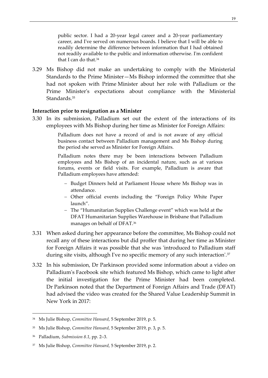public sector. I had a 20-year legal career and a 20-year parliamentary career, and I've served on numerous boards. I believe that I will be able to readily determine the difference between information that I had obtained not readily available to the public and information otherwise. I'm confident that I can do that. $34$ 

3.29 Ms Bishop did not make an undertaking to comply with the Ministerial Standards to the Prime Minister—Ms Bishop informed the committee that she had not spoken with Prime Minister about her role with Palladium or the Prime Minister's expectations about compliance with the Ministerial Standards<sup>35</sup>

#### **Interaction prior to resignation as a Minister**

3.30 In its submission, Palladium set out the extent of the interactions of its employees with Ms Bishop during her time as Minister for Foreign Affairs:

> Palladium does not have a record of and is not aware of any official business contact between Palladium management and Ms Bishop during the period she served as Minister for Foreign Affairs.

> Palladium notes there may be been interactions between Palladium employees and Ms Bishop of an incidental nature, such as at various forums, events or field visits. For example, Palladium is aware that Palladium employees have attended:

- Budget Dinners held at Parliament House where Ms Bishop was in attendance.
- Other official events including the "Foreign Policy White Paper launch".
- The "Humanitarian Supplies Challenge event" which was held at the DFAT Humanitarian Supplies Warehouse in Brisbane that Palladium manages on behalf of DFAT.<sup>36</sup>
- 3.31 When asked during her appearance before the committee, Ms Bishop could not recall any of these interactions but did proffer that during her time as Minister for Foreign Affairs it was possible that she was 'introduced to Palladium staff during site visits, although I've no specific memory of any such interaction'.<sup>37</sup>
- 3.32 In his submission, Dr Parkinson provided some information about a video on Palladium's Facebook site which featured Ms Bishop, which came to light after the initial investigation for the Prime Minister had been completed. Dr Parkinson noted that the Department of Foreign Affairs and Trade (DFAT) had advised the video was created for the Shared Value Leadership Summit in New York in 2017:

<sup>34</sup> Ms Julie Bishop, *Committee Hansard*, 5 September 2019, p. 5.

<sup>35</sup> Ms Julie Bishop, *Committee Hansard*, 5 September 2019, p. 3, p. 5.

<sup>36</sup> Palladium, *Submission 8.1*, pp. 2–3.

<sup>37</sup> Ms Julie Bishop, *Committee Hansard*, 5 September 2019, p. 2.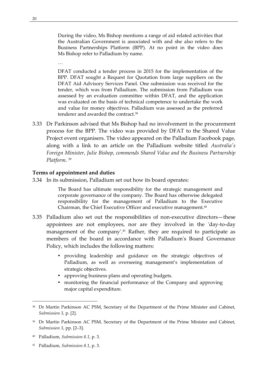During the video, Ms Bishop mentions a range of aid related activities that the Australian Government is associated with and she also refers to the Business Partnerships Platform (BPP). At no point in the video does Ms Bishop refer to Palladium by name.

…

DFAT conducted a tender process in 2015 for the implementation of the BPP. DFAT sought a Request for Quotation from large suppliers on the DFAT Aid Advisory Services Panel. One submission was received for the tender, which was from Palladium. The submission from Palladium was assessed by an evaluation committee within DFAT, and the application was evaluated on the basis of technical competence to undertake the work and value for money objectives. Palladium was assessed as the preferred tenderer and awarded the contract.<sup>38</sup>

3.33 Dr Parkinson advised that Ms Bishop had no involvement in the procurement process for the BPP. The video was provided by DFAT to the Shared Value Project event organisers. The video appeared on the Palladium Facebook page, along with a link to an article on the Palladium website titled *Australia's Foreign Minister, Julie Bishop, commends Shared Value and the Business Partnership Platform*. 39

#### **Terms of appointment and duties**

3.34 In its submission, Palladium set out how its board operates:

The Board has ultimate responsibility for the strategic management and corporate governance of the company. The Board has otherwise delegated responsibility for the management of Palladium to the Executive Chairman, the Chief Executive Officer and executive management.<sup>40</sup>

- 3.35 Palladium also set out the responsibilities of non-executive directors—these appointees are not employees, nor are they involved in the 'day-to-day management of the company'.<sup>41</sup> Rather, they are required to participate as members of the board in accordance with Palladium's Board Governance Policy, which includes the following matters:
	- providing leadership and guidance on the strategic objectives of Palladium, as well as overseeing management's implementation of strategic objectives.
	- approving business plans and operating budgets.
	- monitoring the financial performance of the Company and approving major capital expenditure.

<sup>&</sup>lt;sup>38</sup> Dr Martin Parkinson AC PSM, Secretary of the Department of the Prime Minister and Cabinet, *Submission 3*, p. [2].

<sup>&</sup>lt;sup>39</sup> Dr Martin Parkinson AC PSM, Secretary of the Department of the Prime Minister and Cabinet, *Submission 3*, pp. [2–3].

<sup>40</sup> Palladium, *Submission 8.1*, p. 3.

<sup>41</sup> Palladium, *Submission 8.1*, p. 3.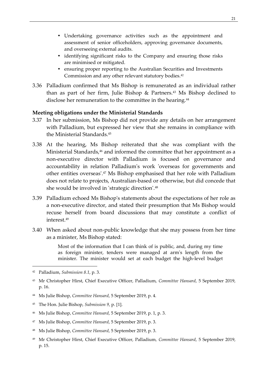- Undertaking governance activities such as the appointment and assessment of senior officeholders, approving governance documents, and overseeing external audits.
- identifying significant risks to the Company and ensuring those risks are minimised or mitigated.
- ensuring proper reporting to the Australian Securities and Investments Commission and any other relevant statutory bodies.<sup>42</sup>
- 3.36 Palladium confirmed that Ms Bishop is remunerated as an individual rather than as part of her firm, Julie Bishop & Partners.<sup>43</sup> Ms Bishop declined to disclose her remuneration to the committee in the hearing.<sup>44</sup>

#### **Meeting obligations under the Ministerial Standards**

- 3.37 In her submission, Ms Bishop did not provide any details on her arrangement with Palladium, but expressed her view that she remains in compliance with the Ministerial Standards.<sup>45</sup>
- 3.38 At the hearing, Ms Bishop reiterated that she was compliant with the Ministerial Standards,<sup>46</sup> and informed the committee that her appointment as a non-executive director with Palladium is focused on governance and accountability in relation Palladium's work 'overseas for governments and other entities overseas'.<sup>47</sup> Ms Bishop emphasised that her role with Palladium does not relate to projects, Australian-based or otherwise, but did concede that she would be involved in 'strategic direction'.<sup>48</sup>
- 3.39 Palladium echoed Ms Bishop's statements about the expectations of her role as a non-executive director, and stated their presumption that Ms Bishop would recuse herself from board discussions that may constitute a conflict of interest.<sup>49</sup>
- 3.40 When asked about non-public knowledge that she may possess from her time as a minister, Ms Bishop stated:

Most of the information that I can think of is public, and, during my time as foreign minister, tenders were managed at arm's length from the minister. The minister would set at each budget the high-level budget

- <sup>44</sup> Ms Julie Bishop, *Committee Hansard*, 5 September 2019, p. 4.
- <sup>45</sup> The Hon. Julie Bishop, *Submission 9*, p. [1].
- <sup>46</sup> Ms Julie Bishop, *Committee Hansard*, 5 September 2019, p. 1, p. 3.
- <sup>47</sup> Ms Julie Bishop, *Committee Hansard*, 5 September 2019, p. 3.
- <sup>48</sup> Ms Julie Bishop, *Committee Hansard*, 5 September 2019, p. 3.
- <sup>49</sup> Mr Christopher Hirst, Chief Executive Officer, Palladium*, Committee Hansard*, 5 September 2019, p. 15.

<sup>42</sup> Palladium, *Submission 8.1*, p. 3.

<sup>43</sup> Mr Christopher Hirst, Chief Executive Officer, Palladium, *Committee Hansard*, 5 September 2019, p. 16.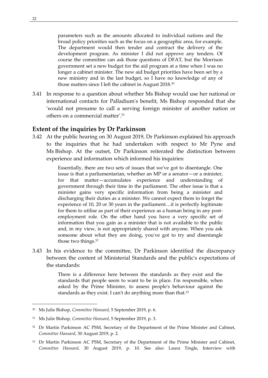parameters such as the amounts allocated to individual nations and the broad policy priorities such as the focus on a geographic area, for example. The department would then tender and contract the delivery of the development program. As minister I did not approve any tenders. Of course the committee can ask those questions of DFAT, but the Morrison government set a new budget for the aid program at a time when I was no longer a cabinet minister. The new aid budget priorities have been set by a new ministry and in the last budget, so I have no knowledge of any of those matters since I left the cabinet in August 2018.<sup>50</sup>

3.41 In response to a question about whether Ms Bishop would use her national or international contacts for Palladium's benefit, Ms Bishop responded that she 'would not presume to call a serving foreign minister of another nation or others on a commercial matter'.<sup>51</sup>

## <span id="page-35-0"></span>**Extent of the inquiries by Dr Parkinson**

3.42 At the public hearing on 30 August 2019, Dr Parkinson explained his approach to the inquiries that he had undertaken with respect to Mr Pyne and Ms Bishop. At the outset, Dr Parkinson reiterated the distinction between experience and information which informed his inquiries:

> Essentially, there are two sets of issues that we've got to disentangle. One issue is that a parliamentarian, whether an MP or a senator—or a minister, for that matter—accumulates experience and understanding of government through their time in the parliament. The other issue is that a minister gains very specific information from being a minister and discharging their duties as a minister. We cannot expect them to forget the experience of 10, 20 or 30 years in the parliament…it is perfectly legitimate for them to utilise as part of their experience as a human being in any postemployment role. On the other hand you have a very specific set of information that you gain as a minister that is not available to the public and, in my view, is not appropriately shared with anyone. When you ask someone about what they are doing, you've got to try and disentangle those two things.<sup>52</sup>

3.43 In his evidence to the committee, Dr Parkinson identified the discrepancy between the content of Ministerial Standards and the public's expectations of the standards:

> There is a difference here between the standards as they exist and the standards that people seem to want to be in place. I'm responsible, when asked by the Prime Minister, to assess people's behaviour against the standards as they exist. I can't do anything more than that.<sup>53</sup>

<sup>50</sup> Ms Julie Bishop, *Committee Hansard*, 5 September 2019, p. 6.

<sup>51</sup> Ms Julie Bishop, *Committee Hansard*, 5 September 2019, p. 3.

<sup>&</sup>lt;sup>52</sup> Dr Martin Parkinson AC PSM, Secretary of the Department of the Prime Minister and Cabinet, *Committee Hansard*, 30 August 2019, p. 2.

<sup>&</sup>lt;sup>53</sup> Dr Martin Parkinson AC PSM, Secretary of the Department of the Prime Minister and Cabinet, *Committee Hansard*, 30 August 2019, p. 10. See also: Laura Tingle, Interview with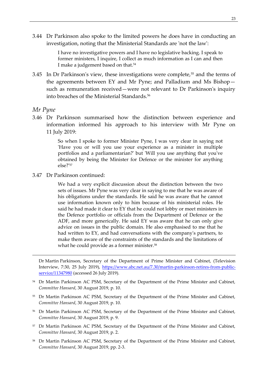3.44 Dr Parkinson also spoke to the limited powers he does have in conducting an investigation, noting that the Ministerial Standards are 'not the law':

> I have no investigative powers and I have no legislative backing. I speak to former ministers, I inquire, I collect as much information as I can and then I make a judgement based on that.<sup>54</sup>

3.45 In Dr Parkinson's view, these investigations were complete,<sup>55</sup> and the terms of the agreements between EY and Mr Pyne; and Palladium and Ms Bishop such as remuneration received—were not relevant to Dr Parkinson's inquiry into breaches of the Ministerial Standards.<sup>56</sup>

#### *Mr Pyne*

1

3.46 Dr Parkinson summarised how the distinction between experience and information informed his approach to his interview with Mr Pyne on 11 July 2019:

> So when I spoke to former Minister Pyne, I was very clear in saying not 'Have you or will you use your experience as a minister in multiple portfolios and a parliamentarian?' but 'Will you use anything that you've obtained by being the Minister for Defence or the minister for anything else?'<sup>57</sup>

3.47 Dr Parkinson continued:

We had a very explicit discussion about the distinction between the two sets of issues. Mr Pyne was very clear in saying to me that he was aware of his obligations under the standards. He said he was aware that he cannot use information known only to him because of his ministerial roles. He said he had made it clear to EY that he could not lobby or meet ministers in the Defence portfolio or officials from the Department of Defence or the ADF, and more generically. He said EY was aware that he can only give advice on issues in the public domain. He also emphasised to me that he had written to EY, and had conversations with the company's partners, to make them aware of the constraints of the standards and the limitations of what he could provide as a former minister.<sup>58</sup>

Dr Martin Parkinson, Secretary of the Department of Prime Minister and Cabinet, (Television Interview, 7:30, 25 July 2019), [https://www.abc.net.au/7.30/martin-parkinson-retires-from-public](https://www.abc.net.au/7.30/martin-parkinson-retires-from-public-service/11347980)[service/11347980](https://www.abc.net.au/7.30/martin-parkinson-retires-from-public-service/11347980) (accessed 26 July 2019).

- <sup>54</sup> Dr Martin Parkinson AC PSM, Secretary of the Department of the Prime Minister and Cabinet, *Committee Hansard*, 30 August 2019, p. 10.
- <sup>55</sup> Dr Martin Parkinson AC PSM, Secretary of the Department of the Prime Minister and Cabinet, *Committee Hansard*, 30 August 2019, p. 10.
- <sup>56</sup> Dr Martin Parkinson AC PSM, Secretary of the Department of the Prime Minister and Cabinet, *Committee Hansard*, 30 August 2019, p. 9.
- <sup>57</sup> Dr Martin Parkinson AC PSM, Secretary of the Department of the Prime Minister and Cabinet, *Committee Hansard*, 30 August 2019, p. 2.
- <sup>58</sup> Dr Martin Parkinson AC PSM, Secretary of the Department of the Prime Minister and Cabinet, *Committee Hansard*, 30 August 2019, pp. 2-3.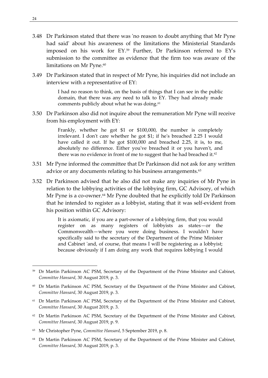- 3.48 Dr Parkinson stated that there was 'no reason to doubt anything that Mr Pyne had said' about his awareness of the limitations the Ministerial Standards imposed on his work for EY.<sup>59</sup> Further, Dr Parkinson referred to EY's submission to the committee as evidence that the firm too was aware of the limitations on Mr Pyne.<sup>60</sup>
- 3.49 Dr Parkinson stated that in respect of Mr Pyne, his inquiries did not include an interview with a representative of EY:

I had no reason to think, on the basis of things that I can see in the public domain, that there was any need to talk to EY. They had already made comments publicly about what he was doing.<sup>61</sup>

3.50 Dr Parkinson also did not inquire about the remuneration Mr Pyne will receive from his employment with EY:

> Frankly, whether he got \$1 or \$100,000, the number is completely irrelevant. I don't care whether he got \$1; if he's breached 2.25 I would have called it out. If he got \$100,000 and breached 2.25, it is, to me, absolutely no difference. Either you've breached it or you haven't, and there was no evidence in front of me to suggest that he had breached it.<sup>62</sup>

- 3.51 Mr Pyne informed the committee that Dr Parkinson did not ask for any written advice or any documents relating to his business arrangements.<sup>63</sup>
- 3.52 Dr Parkinson advised that he also did not make any inquiries of Mr Pyne in relation to the lobbying activities of the lobbying firm, GC Advisory, of which Mr Pyne is a co-owner.<sup>64</sup> Mr Pyne doubted that he explicitly told Dr Parkinson that he intended to register as a lobbyist, stating that it was self-evident from his position within GC Advisory:

It is axiomatic, if you are a part-owner of a lobbying firm, that you would register on as many registers of lobbyists as states—or the Commonwealth—where you were doing business. I wouldn't have specifically said to the secretary of the Department of the Prime Minister and Cabinet 'and, of course, that means I will be registering as a lobbyist; because obviously if I am doing any work that requires lobbying I would

- <sup>61</sup> Dr Martin Parkinson AC PSM, Secretary of the Department of the Prime Minister and Cabinet, *Committee Hansard*, 30 August 2019, p. 3.
- <sup>62</sup> Dr Martin Parkinson AC PSM, Secretary of the Department of the Prime Minister and Cabinet, *Committee Hansard*, 30 August 2019, p. 9.
- <sup>63</sup> Mr Christopher Pyne, *Committee Hansard*, 5 September 2019, p. 8.
- <sup>64</sup> Dr Martin Parkinson AC PSM, Secretary of the Department of the Prime Minister and Cabinet, *Committee Hansard*, 30 August 2019, p. 3.

-

<sup>59</sup> Dr Martin Parkinson AC PSM, Secretary of the Department of the Prime Minister and Cabinet, *Committee Hansard*, 30 August 2019, p. 3.

<sup>60</sup> Dr Martin Parkinson AC PSM, Secretary of the Department of the Prime Minister and Cabinet, *Committee Hansard*, 30 August 2019, p. 3.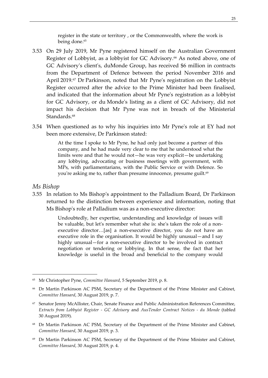register in the state or territory , or the Commonwealth, where the work is being done.<sup>65</sup>

- 3.53 On 29 July 2019, Mr Pyne registered himself on the Australian Government Register of Lobbyist, as a lobbyist for GC Advisory.<sup>66</sup> As noted above, one of GC Advisory's client's, duMonde Group, has received \$6 million in contracts from the Department of Defence between the period November 2016 and April 2019.<sup>67</sup> Dr Parkinson, noted that Mr Pyne's registration on the Lobbyist Register occurred after the advice to the Prime Minister had been finalised, and indicated that the information about Mr Pyne's registration as a lobbyist for GC Advisory, or du Monde's listing as a client of GC Advisory, did not impact his decision that Mr Pyne was not in breach of the Ministerial Standards.<sup>68</sup>
- 3.54 When questioned as to why his inquiries into Mr Pyne's role at EY had not been more extensive, Dr Parkinson stated:

At the time I spoke to Mr Pyne, he had only just become a partner of this company, and he had made very clear to me that he understood what the limits were and that he would not—he was very explicit—be undertaking any lobbying, advocating or business meetings with government, with MPs, with parliamentarians, with the Public Service or with Defence. So you're asking me to, rather than presume innocence, presume guilt.<sup>69</sup>

*Ms Bishop*

1

3.55 In relation to Ms Bishop's appointment to the Palladium Board, Dr Parkinson returned to the distinction between experience and information, noting that Ms Bishop's role at Palladium was as a non-executive director:

> Undoubtedly, her expertise, understanding and knowledge of issues will be valuable, but let's remember what she is: she's taken the role of a nonexecutive director…[as] a non-executive director, you do not have an executive role in the organisation. It would be highly unusual—and I say highly unusual—for a non-executive director to be involved in contract negotiation or tendering or lobbying. In that sense, the fact that her knowledge is useful in the broad and beneficial to the company would

<sup>68</sup> Dr Martin Parkinson AC PSM, Secretary of the Department of the Prime Minister and Cabinet, *Committee Hansard*, 30 August 2019, p. 3.

<sup>65</sup> Mr Christopher Pyne, *Committee Hansard*, 5 September 2019, p. 8.

<sup>66</sup> Dr Martin Parkinson AC PSM, Secretary of the Department of the Prime Minister and Cabinet, *Committee Hansard*, 30 August 2019, p. 7.

<sup>67</sup> Senator Jenny McAllister, Chair, Senate Finance and Public Administration References Committee, *Extracts from Lobbyist Register - GC Advisory* and *AusTender Contract Notices - du Monde* (tabled 30 August 2019).

<sup>69</sup> Dr Martin Parkinson AC PSM, Secretary of the Department of the Prime Minister and Cabinet, *Committee Hansard*, 30 August 2019, p. 4.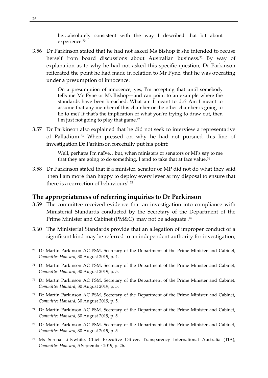be…absolutely consistent with the way I described that bit about experience.<sup>70</sup>

3.56 Dr Parkinson stated that he had not asked Ms Bishop if she intended to recuse herself from board discussions about Australian business.<sup>71</sup> By way of explanation as to why he had not asked this specific question, Dr Parkinson reiterated the point he had made in relation to Mr Pyne, that he was operating under a presumption of innocence:

> On a presumption of innocence, yes, I'm accepting that until somebody tells me Mr Pyne or Ms Bishop—and can point to an example where the standards have been breached. What am I meant to do? Am I meant to assume that any member of this chamber or the other chamber is going to lie to me? If that's the implication of what you're trying to draw out, then I'm just not going to play that game.<sup>72</sup>

3.57 Dr Parkinson also explained that he did not seek to interview a representative of Palladium.<sup>73</sup> When pressed on why he had not pursued this line of investigation Dr Parkinson forcefully put his point:

> Well, perhaps I'm naïve…but, when ministers or senators or MPs say to me that they are going to do something, I tend to take that at face value.<sup>74</sup>

3.58 Dr Parkinson stated that if a minister, senator or MP did not do what they said 'then I am more than happy to deploy every lever at my disposal to ensure that there is a correction of behaviours'.<sup>75</sup>

#### **The appropriateness of referring inquiries to Dr Parkinson**

- 3.59 The committee received evidence that an investigation into compliance with Ministerial Standards conducted by the Secretary of the Department of the Prime Minister and Cabinet (PM&C) 'may not be adequate'.<sup>76</sup>
- 3.60 The Ministerial Standards provide that an allegation of improper conduct of a significant kind may be referred to an independent authority for investigation,

- <sup>72</sup> Dr Martin Parkinson AC PSM, Secretary of the Department of the Prime Minister and Cabinet, *Committee Hansard*, 30 August 2019, p. 5.
- <sup>73</sup> Dr Martin Parkinson AC PSM, Secretary of the Department of the Prime Minister and Cabinet, *Committee Hansard*, 30 August 2019, p. 5.
- <sup>74</sup> Dr Martin Parkinson AC PSM, Secretary of the Department of the Prime Minister and Cabinet, *Committee Hansard*, 30 August 2019, p. 5.
- <sup>75</sup> Dr Martin Parkinson AC PSM, Secretary of the Department of the Prime Minister and Cabinet, *Committee Hansard*, 30 August 2019, p. 5.
- <sup>76</sup> Ms Serena Lillywhite, Chief Executive Officer, Transparency International Australia (TIA), *Committee Hansard*, 5 September 2019, p. 26.

 $70$  Dr Martin Parkinson AC PSM, Secretary of the Department of the Prime Minister and Cabinet, *Committee Hansard*, 30 August 2019, p. 4.

 $71$  Dr Martin Parkinson AC PSM, Secretary of the Department of the Prime Minister and Cabinet, *Committee Hansard*, 30 August 2019, p. 5.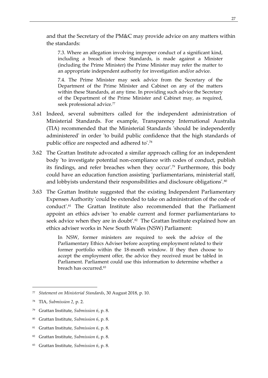and that the Secretary of the PM&C may provide advice on any matters within the standards:

7.3. Where an allegation involving improper conduct of a significant kind, including a breach of these Standards, is made against a Minister (including the Prime Minister) the Prime Minister may refer the matter to an appropriate independent authority for investigation and/or advice.

7.4. The Prime Minister may seek advice from the Secretary of the Department of the Prime Minister and Cabinet on any of the matters within these Standards, at any time. In providing such advice the Secretary of the Department of the Prime Minister and Cabinet may, as required, seek professional advice.<sup>77</sup>

- 3.61 Indeed, several submitters called for the independent administration of Ministerial Standards. For example, Transparency International Australia (TIA) recommended that the Ministerial Standards 'should be independently administered' in order 'to build public confidence that the high standards of public office are respected and adhered to'.<sup>78</sup>
- 3.62 The Grattan Institute advocated a similar approach calling for an independent body 'to investigate potential non-compliance with codes of conduct, publish its findings, and refer breaches when they occur'.<sup>79</sup> Furthermore, this body could have an education function assisting 'parliamentarians, ministerial staff, and lobbyists understand their responsibilities and disclosure obligations'.<sup>80</sup>
- 3.63 The Grattan Institute suggested that the existing Independent Parliamentary Expenses Authority 'could be extended to take on administration of the code of conduct'.<sup>81</sup> The Grattan Institute also recommended that the Parliament appoint an ethics adviser 'to enable current and former parliamentarians to seek advice when they are in doubt'. $82$  The Grattan Institute explained how an ethics adviser works in New South Wales (NSW) Parliament:

In NSW, former ministers are required to seek the advice of the Parliamentary Ethics Adviser before accepting employment related to their former portfolio within the 18-month window. If they then choose to accept the employment offer, the advice they received must be tabled in Parliament. Parliament could use this information to determine whether a breach has occurred.<sup>83</sup>

- <sup>79</sup> Grattan Institute, *Submission 6*, p. 8.
- <sup>80</sup> Grattan Institute, *Submission 6*, p. 8.
- <sup>81</sup> Grattan Institute, *Submission 6*, p. 8.
- <sup>82</sup> Grattan Institute, *Submission 6*, p. 8.
- <sup>83</sup> Grattan Institute, *Submission 6*, p. 8.

<sup>77</sup> *Statement on Ministerial Standards*, 30 August 2018, p. 10.

<sup>78</sup> TIA, *Submission 2*, p. 2.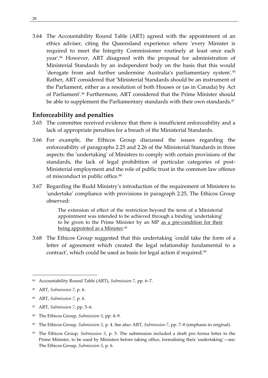3.64 The Accountability Round Table (ART) agreed with the appointment of an ethics adviser, citing the Queensland experience where 'every Minister is required to meet the Integrity Commissioner routinely at least once each year'.<sup>84</sup> However, ART disagreed with the proposal for administration of Ministerial Standards by an independent body on the basis that this would 'derogate from and further undermine Australia's parliamentary system'.<sup>85</sup> Rather, ART considered that 'Ministerial Standards should be an instrument of the Parliament, either as a resolution of both Houses or (as in Canada) by Act of Parliament'.<sup>86</sup> Furthermore, ART considered that the Prime Minister should be able to supplement the Parliamentary standards with their own standards.<sup>87</sup>

## **Enforceability and penalties**

- 3.65 The committee received evidence that there is insufficient enforceability and a lack of appropriate penalties for a breach of the Ministerial Standards.
- 3.66 For example, the Ethicos Group discussed the issues regarding the enforceability of paragraphs 2.25 and 2.26 of the Ministerial Standards in three aspects: the 'undertaking' of Ministers to comply with certain provisions of the standards, the lack of legal prohibition of particular categories of post-Ministerial employment and the role of public trust in the common law offence of misconduct in public office.<sup>88</sup>
- 3.67 Regarding the Rudd Ministry's introduction of the requirement of Ministers to 'undertake' compliance with provisions in paragraph 2.25, The Ethicos Group observed:

The extension of effect of the restriction beyond the term of a Ministerial appointment was intended to be achieved through a binding 'undertaking' to be given to the Prime Minister by an MP as a pre-condition for their being appointed as a Minister. 89

3.68 The Ethicos Group suggested that this undertaking 'could take the form of a letter of agreement which created the legal relationship fundamental to a contract', which could be used as basis for legal action if required.<sup>90</sup>

- <sup>86</sup> ART, *Submission 7*, p. 6.
- <sup>87</sup> ART, *Submission 7*, pp. 5–6.
- <sup>88</sup> The Ethicos Group, *Submission 5*, pp. 4–9.
- <sup>89</sup> The Ethicos Group, *Submission 5*, p. 4. See also: ART, *Submission 7*, pp. 7–8 (emphasis in original).
- <sup>90</sup> The Ethicos Group, *Submission 5*, p. 5. The submission included a draft pro forma letter to the Prime Minister, to be used by Ministers before taking office, formalising their 'undertaking'—see: The Ethicos Group, *Submission 5*, p. 6.

<sup>84</sup> Accountability Round Table (ART), *Submission 7*, pp. 6–7.

<sup>85</sup> ART, *Submission 7*, p. 6.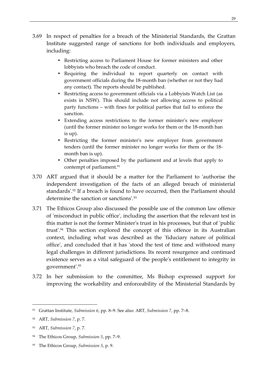- 3.69 In respect of penalties for a breach of the Ministerial Standards, the Grattan Institute suggested range of sanctions for both individuals and employers, including:
	- Restricting access to Parliament House for former ministers and other lobbyists who breach the code of conduct.
	- Requiring the individual to report quarterly on contact with government officials during the 18-month ban (whether or not they had any contact). The reports should be published.
	- Restricting access to government officials via a Lobbyists Watch List (as exists in NSW). This should include not allowing access to political party functions – with fines for political parties that fail to enforce the sanction.
	- Extending access restrictions to the former minister's new employer (until the former minister no longer works for them or the 18-month ban is up).
	- Restricting the former minister's new employer from government tenders (until the former minister no longer works for them or the 18 month ban is up).
	- Other penalties imposed by the parliament and at levels that apply to contempt of parliament.<sup>91</sup>
- 3.70 ART argued that it should be a matter for the Parliament to 'authorise the independent investigation of the facts of an alleged breach of ministerial standards'.<sup>92</sup> If a breach is found to have occurred, then the Parliament should determine the sanction or sanctions'.<sup>93</sup>
- 3.71 The Ethicos Group also discussed the possible use of the common law offence of 'misconduct in public office', including the assertion that the relevant test in this matter is not the former Minister's trust in his processes, but that of 'public trust'.<sup>94</sup> This section explored the concept of this offence in its Australian context, including what was described as the 'fiduciary nature of political office', and concluded that it has 'stood the test of time and withstood many legal challenges in different jurisdictions. Its recent resurgence and continued existence serves as a vital safeguard of the people's entitlement to integrity in government'.<sup>95</sup>
- 3.72 In her submission to the committee, Ms Bishop expressed support for improving the workability and enforceability of the Ministerial Standards by

1

<sup>95</sup> The Ethicos Group, *Submission 5*, p. 9.

<sup>91</sup> Grattan Institute, *Submission 6*, pp. 8–9. See also: ART, *Submission 7*, pp. 7–8.

<sup>92</sup> ART, *Submission 7*, p. 7.

<sup>93</sup> ART, *Submission 7*, p. 7.

<sup>94</sup> The Ethicos Group, *Submission 5*, pp. 7–9.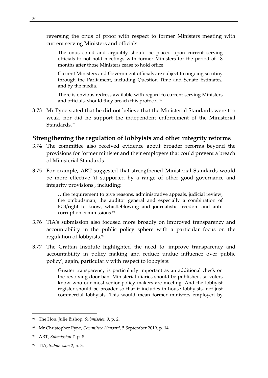reversing the onus of proof with respect to former Ministers meeting with current serving Ministers and officials:

The onus could and arguably should be placed upon current serving officials to not hold meetings with former Ministers for the period of 18 months after those Ministers cease to hold office.

Current Ministers and Government officials are subject to ongoing scrutiny through the Parliament, including Question Time and Senate Estimates, and by the media.

There is obvious redress available with regard to current serving Ministers and officials, should they breach this protocol.<sup>96</sup>

3.73 Mr Pyne stated that he did not believe that the Ministerial Standards were too weak, nor did he support the independent enforcement of the Ministerial Standards.<sup>97</sup>

### **Strengthening the regulation of lobbyists and other integrity reforms**

- 3.74 The committee also received evidence about broader reforms beyond the provisions for former minister and their employers that could prevent a breach of Ministerial Standards.
- 3.75 For example, ART suggested that strengthened Ministerial Standards would be more effective 'if supported by a range of other good governance and integrity provisions', including:

…the requirement to give reasons, administrative appeals, judicial review, the ombudsman, the auditor general and especially a combination of FOI/right to know, whistleblowing and journalistic freedom and anticorruption commissions.<sup>98</sup>

- 3.76 TIA's submission also focused more broadly on improved transparency and accountability in the public policy sphere with a particular focus on the regulation of lobbyists.<sup>99</sup>
- 3.77 The Grattan Institute highlighted the need to 'improve transparency and accountability in policy making and reduce undue influence over public policy', again, particularly with respect to lobbyists:

Greater transparency is particularly important as an additional check on the revolving door ban. Ministerial diaries should be published, so voters know who our most senior policy makers are meeting. And the lobbyist register should be broader so that it includes in-house lobbyists, not just commercial lobbyists. This would mean former ministers employed by

<sup>96</sup> The Hon. Julie Bishop, *Submission 9*, p. 2.

<sup>97</sup> Mr Christopher Pyne, *Committee Hansard*, 5 September 2019, p. 14.

<sup>98</sup> ART, *Submission 7*, p. 8.

<sup>99</sup> TIA, *Submission 2*, p. 3.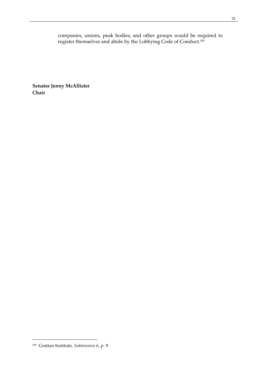companies, unions, peak bodies, and other groups would be required to register themselves and abide by the Lobbying Code of Conduct.<sup>100</sup>

**Senator Jenny McAllister Chair**

<sup>100</sup> Grattan Institute, *Submission 6*, p. 9.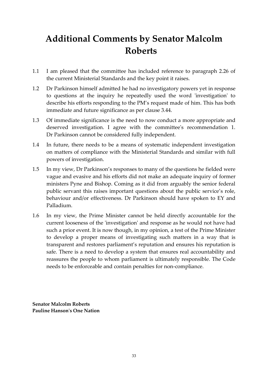# **Additional Comments by Senator Malcolm Roberts**

- 1.1 I am pleased that the committee has included reference to paragraph 2.26 of the current Ministerial Standards and the key point it raises.
- 1.2 Dr Parkinson himself admitted he had no investigatory powers yet in response to questions at the inquiry he repeatedly used the word 'investigation' to describe his efforts responding to the PM's request made of him. This has both immediate and future significance as per clause 3.44.
- 1.3 Of immediate significance is the need to now conduct a more appropriate and deserved investigation. I agree with the committee's recommendation 1. Dr Parkinson cannot be considered fully independent.
- 1.4 In future, there needs to be a means of systematic independent investigation on matters of compliance with the Ministerial Standards and similar with full powers of investigation.
- 1.5 In my view, Dr Parkinson's responses to many of the questions he fielded were vague and evasive and his efforts did not make an adequate inquiry of former ministers Pyne and Bishop. Coming as it did from arguably the senior federal public servant this raises important questions about the public service's role, behaviour and/or effectiveness. Dr Parkinson should have spoken to EY and Palladium.
- 1.6 In my view, the Prime Minister cannot be held directly accountable for the current looseness of the 'investigation' and response as he would not have had such a prior event. It is now though, in my opinion, a test of the Prime Minister to develop a proper means of investigating such matters in a way that is transparent and restores parliament's reputation and ensures his reputation is safe. There is a need to develop a system that ensures real accountability and reassures the people to whom parliament is ultimately responsible. The Code needs to be enforceable and contain penalties for non-compliance.

**Senator Malcolm Roberts Pauline Hanson's One Nation**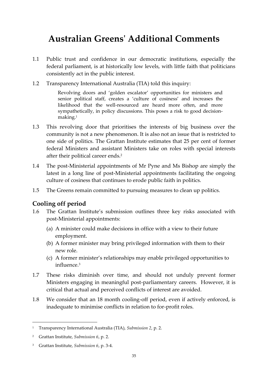# **Australian Greens' Additional Comments**

- 1.1 Public trust and confidence in our democratic institutions, especially the federal parliament, is at historically low levels, with little faith that politicians consistently act in the public interest.
- 1.2 Transparency International Australia (TIA) told this inquiry:

Revolving doors and 'golden escalator' opportunities for ministers and senior political staff, creates a 'culture of cosiness' and increases the likelihood that the well-resourced are heard more often, and more sympathetically, in policy discussions. This poses a risk to good decisionmaking.<sup>1</sup>

- 1.3 This revolving door that prioritises the interests of big business over the community is not a new phenomenon. It is also not an issue that is restricted to one side of politics. The Grattan Institute estimates that 25 per cent of former federal Ministers and assistant Ministers take on roles with special interests after their political career ends.<sup>2</sup>
- 1.4 The post-Ministerial appointments of Mr Pyne and Ms Bishop are simply the latest in a long line of post-Ministerial appointments facilitating the ongoing culture of cosiness that continues to erode public faith in politics.
- 1.5 The Greens remain committed to pursuing measures to clean up politics.

## **Cooling off period**

- 1.6 The Grattan Institute's submission outlines three key risks associated with post-Ministerial appointments:
	- (a) A minister could make decisions in office with a view to their future employment.
	- (b) A former minister may bring privileged information with them to their new role.
	- (c) A former minister's relationships may enable privileged opportunities to influence.<sup>3</sup>
- 1.7 These risks diminish over time, and should not unduly prevent former Ministers engaging in meaningful post-parliamentary careers. However, it is critical that actual and perceived conflicts of interest are avoided.
- 1.8 We consider that an 18 month cooling-off period, even if actively enforced, is inadequate to minimise conflicts in relation to for-profit roles.

<sup>1</sup> Transparency International Australia (TIA), *Submission 2*, p. 2.

<sup>2</sup> Grattan Institute, *Submission 6*, p. 2.

<sup>3</sup> Grattan Institute, *Submission 6*, p. 3-4.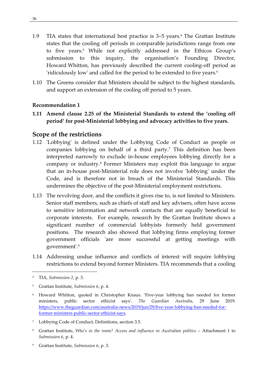- 1.9 TIA states that international best practice is 3–5 years.<sup>4</sup> The Grattan Institute states that the cooling off periods in comparable jurisdictions range from one to five years.<sup>5</sup> While not explicitly addressed in the Ethicos Group's submission to this inquiry, the organisation's Founding Director, Howard Whitton, has previously described the current cooling-off period as 'ridiculously low' and called for the period to be extended to five years.<sup>6</sup>
- 1.10 The Greens consider that Ministers should be subject to the highest standards, and support an extension of the cooling off period to 5 years.

#### **Recommendation 1**

**1.11 Amend clause 2.25 of the Ministerial Standards to extend the 'cooling off period' for post-Ministerial lobbying and advocacy activities to five years.**

### **Scope of the restrictions**

- 1.12 'Lobbying' is defined under the Lobbying Code of Conduct as people or companies lobbying on behalf of a third party.<sup>7</sup> This definition has been interpreted narrowly to exclude in-house employees lobbying directly for a company or industry.<sup>8</sup> Former Ministers may exploit this language to argue that an in-house post-Ministerial role does not involve 'lobbying' under the Code, and is therefore not in breach of the Ministerial Standards. This undermines the objective of the post-Ministerial employment restrictions.
- 1.13 The revolving door, and the conflicts it gives rise to, is not limited to Ministers. Senior staff members, such as chiefs of staff and key advisers, often have access to sensitive information and network contacts that are equally beneficial to corporate interests. For example, research by the Grattan Institute shows a significant number of commercial lobbyists formerly held government positions. The research also showed that lobbying firms employing former government officials 'are more successful at getting meetings with government'.<sup>9</sup>
- 1.14 Addressing undue influence and conflicts of interest will require lobbying restrictions to extend beyond former Ministers. TIA recommends that a cooling

1

<sup>9</sup> Grattan Institute, *Submission 6*, p. 3.

<sup>4</sup> TIA, *Submission 2*, p. 3.

<sup>5</sup> Grattan Institute, *Submission 6*, p. 4.

<sup>6</sup> Howard Whitton, quoted in Christopher Knaus. 'Five-year lobbying ban needed for former ministers, public sector ethicist says'. *The Guardian Australia*, 29 June 2019. [https://www.theguardian.com/australia-news/2019/jun/29/five-year-lobbying-ban-needed-for](https://www.theguardian.com/australia-news/2019/jun/29/five-year-lobbying-ban-needed-for-former-ministers-public-sector-ethicist-says)[former-ministers-public-sector-ethicist-says.](https://www.theguardian.com/australia-news/2019/jun/29/five-year-lobbying-ban-needed-for-former-ministers-public-sector-ethicist-says)

<sup>7</sup> Lobbying Code of Conduct, Definitions, section 3.5.

<sup>8</sup> Grattan Institute, *Who's in the room? Access and influence in Australian politics* – Attachment 1 to *Submission 6,* p. 4.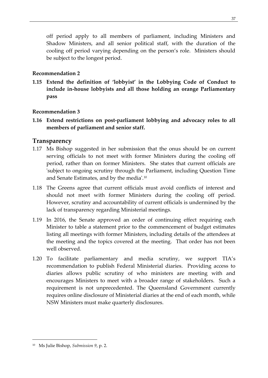off period apply to all members of parliament, including Ministers and Shadow Ministers, and all senior political staff, with the duration of the cooling off period varying depending on the person's role. Ministers should be subject to the longest period.

#### **Recommendation 2**

**1.15 Extend the definition of 'lobbyist' in the Lobbying Code of Conduct to include in-house lobbyists and all those holding an orange Parliamentary pass** 

#### **Recommendation 3**

**1.16 Extend restrictions on post-parliament lobbying and advocacy roles to all members of parliament and senior staff.** 

## **Transparency**

- 1.17 Ms Bishop suggested in her submission that the onus should be on current serving officials to not meet with former Ministers during the cooling off period, rather than on former Ministers. She states that current officials are 'subject to ongoing scrutiny through the Parliament, including Question Time and Senate Estimates, and by the media'.<sup>10</sup>
- 1.18 The Greens agree that current officials must avoid conflicts of interest and should not meet with former Ministers during the cooling off period. However, scrutiny and accountability of current officials is undermined by the lack of transparency regarding Ministerial meetings.
- 1.19 In 2016, the Senate approved an order of continuing effect requiring each Minister to table a statement prior to the commencement of budget estimates listing all meetings with former Ministers, including details of the attendees at the meeting and the topics covered at the meeting. That order has not been well observed.
- 1.20 To facilitate parliamentary and media scrutiny, we support TIA's recommendation to publish Federal Ministerial diaries. Providing access to diaries allows public scrutiny of who ministers are meeting with and encourages Ministers to meet with a broader range of stakeholders. Such a requirement is not unprecedented. The Queensland Government currently requires online disclosure of Ministerial diaries at the end of each month, while NSW Ministers must make quarterly disclosures.

<sup>10</sup> Ms Julie Bishop, *Submission 9*, p. 2.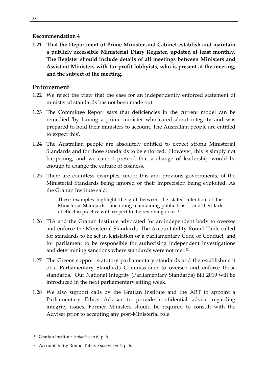#### **Recommendation 4**

**1.21 That the Department of Prime Minister and Cabinet establish and maintain a publicly accessible Ministerial Diary Register, updated at least monthly. The Register should include details of all meetings between Ministers and Assistant Ministers with for-profit lobbyists, who is present at the meeting, and the subject of the meeting.** 

## **Enforcement**

- 1.22 We reject the view that the case for an independently enforced statement of ministerial standards has not been made out.
- 1.23 The Committee Report says that deficiencies in the current model can be remedied 'by having a prime minister who cared about integrity and was prepared to hold their ministers to account. The Australian people are entitled to expect this'.
- 1.24 The Australian people are absolutely entitled to expect strong Ministerial Standards and for those standards to be enforced. However, this is simply not happening, and we cannot pretend that a change of leadership would be enough to change the culture of cosiness.
- 1.25 There are countless examples, under this and previous governments, of the Ministerial Standards being ignored or their imprecision being exploited. As the Grattan Institute said:

These examples highlight the gulf between the stated intention of the Ministerial Standards – including maintaining public trust – and their lack of effect in practice with respect to the revolving door.<sup>11</sup>

- 1.26 TIA and the Grattan Institute advocated for an independent body to oversee and enforce the Ministerial Standards. The Accountability Round Table called for standards to be set in legislation or a parliamentary Code of Conduct, and for parliament to be responsible for authorising independent investigations and determining sanctions where standards were not met.<sup>12</sup>
- 1.27 The Greens support statutory parliamentary standards and the establishment of a Parliamentary Standards Commissioner to oversee and enforce those standards. Our National Integrity (Parliamentary Standards) Bill 2019 will be introduced in the next parliamentary sitting week.
- 1.28 We also support calls by the Grattan Institute and the ART to appoint a Parliamentary Ethics Adviser to provide confidential advice regarding integrity issues. Former Ministers should be required to consult with the Adviser prior to accepting any post-Ministerial role.

<sup>11</sup> Grattan Institute, *Submission 6*, p. 6.

<sup>12</sup> Accountability Round Table, *Submission 7*, p. 6.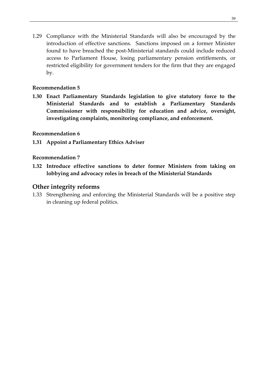1.29 Compliance with the Ministerial Standards will also be encouraged by the introduction of effective sanctions. Sanctions imposed on a former Minister found to have breached the post-Ministerial standards could include reduced access to Parliament House, losing parliamentary pension entitlements, or restricted eligibility for government tenders for the firm that they are engaged by.

### **Recommendation 5**

**1.30 Enact Parliamentary Standards legislation to give statutory force to the Ministerial Standards and to establish a Parliamentary Standards Commissioner with responsibility for education and advice, oversight, investigating complaints, monitoring compliance, and enforcement.** 

## **Recommendation 6**

**1.31 Appoint a Parliamentary Ethics Adviser**

### **Recommendation 7**

**1.32 Introduce effective sanctions to deter former Ministers from taking on lobbying and advocacy roles in breach of the Ministerial Standards** 

## **Other integrity reforms**

1.33 Strengthening and enforcing the Ministerial Standards will be a positive step in cleaning up federal politics.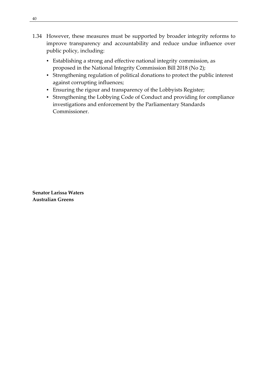- 1.34 However, these measures must be supported by broader integrity reforms to improve transparency and accountability and reduce undue influence over public policy, including:
	- Establishing a strong and effective national integrity commission, as proposed in the National Integrity Commission Bill 2018 (No 2);
	- Strengthening regulation of political donations to protect the public interest against corrupting influences;
	- Ensuring the rigour and transparency of the Lobbyists Register;
	- Strengthening the Lobbying Code of Conduct and providing for compliance investigations and enforcement by the Parliamentary Standards Commissioner.

**Senator Larissa Waters Australian Greens**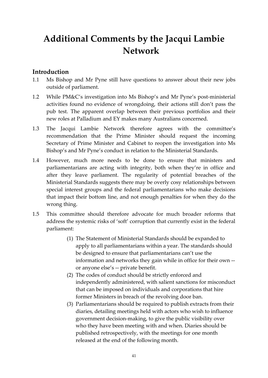# **Additional Comments by the Jacqui Lambie Network**

## **Introduction**

- 1.1 Ms Bishop and Mr Pyne still have questions to answer about their new jobs outside of parliament.
- 1.2 While PM&C's investigation into Ms Bishop's and Mr Pyne's post-ministerial activities found no evidence of wrongdoing, their actions still don't pass the pub test. The apparent overlap between their previous portfolios and their new roles at Palladium and EY makes many Australians concerned.
- 1.3 The Jacqui Lambie Network therefore agrees with the committee's recommendation that the Prime Minister should request the incoming Secretary of Prime Minister and Cabinet to reopen the investigation into Ms Bishop's and Mr Pyne's conduct in relation to the Ministerial Standards.
- 1.4 However, much more needs to be done to ensure that ministers and parliamentarians are acting with integrity, both when they're in office and after they leave parliament. The regularity of potential breaches of the Ministerial Standards suggests there may be overly cosy relationships between special interest groups and the federal parliamentarians who make decisions that impact their bottom line, and not enough penalties for when they do the wrong thing.
- 1.5 This committee should therefore advocate for much broader reforms that address the systemic risks of 'soft' corruption that currently exist in the federal parliament:
	- (1) The Statement of Ministerial Standards should be expanded to apply to all parliamentarians within a year. The standards should be designed to ensure that parliamentarians can't use the information and networks they gain while in office for their own - or anyone else's -- private benefit.
	- (2) The codes of conduct should be strictly enforced and independently administered, with salient sanctions for misconduct that can be imposed on individuals and corporations that hire former Ministers in breach of the revolving door ban.
	- (3) Parliamentarians should be required to publish extracts from their diaries, detailing meetings held with actors who wish to influence government decision-making, to give the public visibility over who they have been meeting with and when. Diaries should be published retrospectively, with the meetings for one month released at the end of the following month.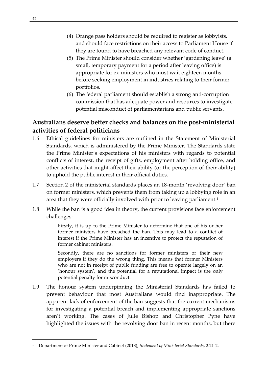- (4) Orange pass holders should be required to register as lobbyists, and should face restrictions on their access to Parliament House if they are found to have breached any relevant code of conduct.
- (5) The Prime Minister should consider whether 'gardening leave' (a small, temporary payment for a period after leaving office) is appropriate for ex-ministers who must wait eighteen months before seeking employment in industries relating to their former portfolios.
- (6) The federal parliament should establish a strong anti-corruption commission that has adequate power and resources to investigate potential misconduct of parliamentarians and public servants.

## **Australians deserve better checks and balances on the post-ministerial activities of federal politicians**

- 1.6 Ethical guidelines for ministers are outlined in the Statement of Ministerial Standards, which is administered by the Prime Minister. The Standards state the Prime Minister's expectations of his ministers with regards to potential conflicts of interest, the receipt of gifts, employment after holding office, and other activities that might affect their ability (or the perception of their ability) to uphold the public interest in their official duties.
- 1.7 Section 2 of the ministerial standards places an 18-month 'revolving door' ban on former ministers, which prevents them from taking up a lobbying role in an area that they were officially involved with prior to leaving parliament.<sup>1</sup>
- 1.8 While the ban is a good idea in theory, the current provisions face enforcement challenges:

Firstly, it is up to the Prime Minister to determine that one of his or her former ministers have breached the ban. This may lead to a conflict of interest if the Prime Minister has an incentive to protect the reputation of former cabinet ministers.

Secondly, there are no sanctions for former ministers or their new employers if they do the wrong thing. This means that former Ministers who are not in receipt of public funding are free to operate largely on an 'honour system', and the potential for a reputational impact is the only potential penalty for misconduct.

1.9 The honour system underpinning the Ministerial Standards has failed to prevent behaviour that most Australians would find inappropriate. The apparent lack of enforcement of the ban suggests that the current mechanisms for investigating a potential breach and implementing appropriate sanctions aren't working. The cases of Julie Bishop and Christopher Pyne have highlighted the issues with the revolving door ban in recent months, but there

<sup>1</sup> Department of Prime Minister and Cabinet (2018), *Statement of Ministerial Standards*, 2.21-2.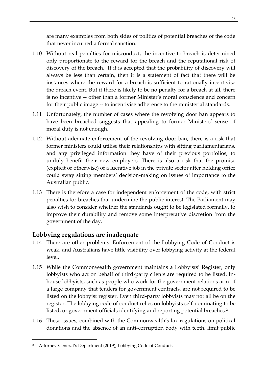are many examples from both sides of politics of potential breaches of the code that never incurred a formal sanction.

- 1.10 Without real penalties for misconduct, the incentive to breach is determined only proportionate to the reward for the breach and the reputational risk of discovery of the breach. If it is accepted that the probability of discovery will always be less than certain, then it is a statement of fact that there will be instances where the reward for a breach is sufficient to rationally incentivise the breach event. But if there is likely to be no penalty for a breach at all, there is no incentive -- other than a former Minister's moral conscience and concern for their public image -- to incentivise adherence to the ministerial standards.
- 1.11 Unfortunately, the number of cases where the revolving door ban appears to have been breached suggests that appealing to former Ministers' sense of moral duty is not enough.
- 1.12 Without adequate enforcement of the revolving door ban, there is a risk that former ministers could utilise their relationships with sitting parliamentarians, and any privileged information they have of their previous portfolios, to unduly benefit their new employers. There is also a risk that the promise (explicit or otherwise) of a lucrative job in the private sector after holding office could sway sitting members' decision-making on issues of importance to the Australian public.
- 1.13 There is therefore a case for independent enforcement of the code, with strict penalties for breaches that undermine the public interest. The Parliament may also wish to consider whether the standards ought to be legislated formally, to improve their durability and remove some interpretative discretion from the government of the day.

## **Lobbying regulations are inadequate**

- 1.14 There are other problems. Enforcement of the Lobbying Code of Conduct is weak, and Australians have little visibility over lobbying activity at the federal level.
- 1.15 While the Commonwealth government maintains a Lobbyists' Register, only lobbyists who act on behalf of third-party clients are required to be listed. Inhouse lobbyists, such as people who work for the government relations arm of a large company that tenders for government contracts, are not required to be listed on the lobbyist register. Even third-party lobbyists may not all be on the register. The lobbying code of conduct relies on lobbyists self-nominating to be listed, or government officials identifying and reporting potential breaches.<sup>2</sup>
- 1.16 These issues, combined with the Commonwealth's lax regulations on political donations and the absence of an anti-corruption body with teeth, limit public

<sup>2</sup> Attorney-General's Department (2019), Lobbying Code of Conduct.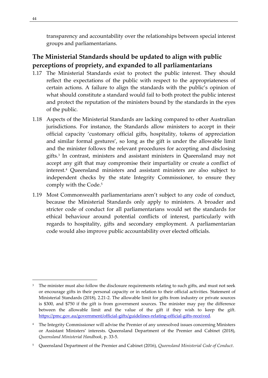transparency and accountability over the relationships between special interest groups and parliamentarians.

# **The Ministerial Standards should be updated to align with public perceptions of propriety, and expanded to all parliamentarians**

- 1.17 The Ministerial Standards exist to protect the public interest. They should reflect the expectations of the public with respect to the appropriateness of certain actions. A failure to align the standards with the public's opinion of what should constitute a standard would fail to both protect the public interest and protect the reputation of the ministers bound by the standards in the eyes of the public.
- 1.18 Aspects of the Ministerial Standards are lacking compared to other Australian jurisdictions. For instance, the Standards allow ministers to accept in their official capacity 'customary official gifts, hospitality, tokens of appreciation and similar formal gestures', so long as the gift is under the allowable limit and the minister follows the relevant procedures for accepting and disclosing gifts.<sup>3</sup> In contrast, ministers and assistant ministers in Queensland may not accept any gift that may compromise their impartiality or create a conflict of interest.<sup>4</sup> Queensland ministers and assistant ministers are also subject to independent checks by the state Integrity Commissioner, to ensure they comply with the Code.<sup>5</sup>
- 1.19 Most Commonwealth parliamentarians aren't subject to any code of conduct, because the Ministerial Standards only apply to ministers. A broader and stricter code of conduct for all parliamentarians would set the standards for ethical behaviour around potential conflicts of interest, particularly with regards to hospitality, gifts and secondary employment. A parliamentarian code would also improve public accountability over elected officials.

<sup>&</sup>lt;sup>3</sup> The minister must also follow the disclosure requirements relating to such gifts, and must not seek or encourage gifts in their personal capacity or in relation to their official activities. Statement of Ministerial Standards (2018), 2.21-2. The allowable limit for gifts from industry or private sources is \$300, and \$750 if the gift is from government sources. The minister may pay the difference between the allowable limit and the value of the gift if they wish to keep the gift. [https://pmc.gov.au/government/official-gifts/guidelines-relating-official-gifts-received.](https://pmc.gov.au/government/official-gifts/guidelines-relating-official-gifts-received)

<sup>&</sup>lt;sup>4</sup> The Integrity Commissioner will advise the Premier of any unresolved issues concerning Ministers or Assistant Ministers' interests. Queensland Department of the Premier and Cabinet (2018), *Queensland Ministerial Handbook*, p. 33-5.

<sup>5</sup> Queensland Department of the Premier and Cabinet (2016), *Queensland Ministerial Code of Conduct*.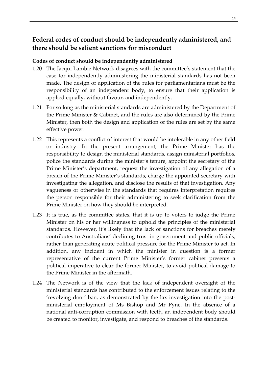# **Federal codes of conduct should be independently administered, and there should be salient sanctions for misconduct**

## **Codes of conduct should be independently administered**

- 1.20 The Jacqui Lambie Network disagrees with the committee's statement that the case for independently administering the ministerial standards has not been made. The design or application of the rules for parliamentarians must be the responsibility of an independent body, to ensure that their application is applied equally, without favour, and independently.
- 1.21 For so long as the ministerial standards are administered by the Department of the Prime Minister & Cabinet, and the rules are also determined by the Prime Minister, then both the design and application of the rules are set by the same effective power.
- 1.22 This represents a conflict of interest that would be intolerable in any other field or industry. In the present arrangement, the Prime Minister has the responsibility to design the ministerial standards, assign ministerial portfolios, police the standards during the minister's tenure, appoint the secretary of the Prime Minister's department, request the investigation of any allegation of a breach of the Prime Minister's standards, charge the appointed secretary with investigating the allegation, and disclose the results of that investigation. Any vagueness or otherwise in the standards that requires interpretation requires the person responsible for their administering to seek clarification from the Prime Minister on how they should be interpreted.
- 1.23 It is true, as the committee states, that it is up to voters to judge the Prime Minister on his or her willingness to uphold the principles of the ministerial standards. However, it's likely that the lack of sanctions for breaches merely contributes to Australians' declining trust in government and public officials, rather than generating acute political pressure for the Prime Minister to act. In addition, any incident in which the minister in question is a former representative of the current Prime Minister's former cabinet presents a political imperative to clear the former Minister, to avoid political damage to the Prime Minister in the aftermath.
- 1.24 The Network is of the view that the lack of independent oversight of the ministerial standards has contributed to the enforcement issues relating to the 'revolving door' ban, as demonstrated by the lax investigation into the postministerial employment of Ms Bishop and Mr Pyne. In the absence of a national anti-corruption commission with teeth, an independent body should be created to monitor, investigate, and respond to breaches of the standards.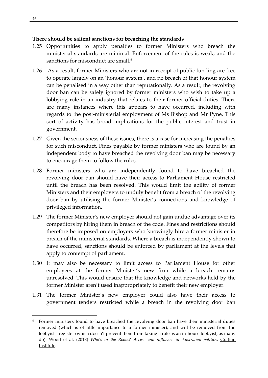## **There should be salient sanctions for breaching the standards**

- 1.25 Opportunities to apply penalties to former Ministers who breach the ministerial standards are minimal. Enforcement of the rules is weak, and the sanctions for misconduct are small.<sup>6</sup>
- 1.26 As a result, former Ministers who are not in receipt of public funding are free to operate largely on an 'honour system', and no breach of that honour system can be penalised in a way other than reputationally. As a result, the revolving door ban can be safely ignored by former ministers who wish to take up a lobbying role in an industry that relates to their former official duties. There are many instances where this appears to have occurred, including with regards to the post-ministerial employment of Ms Bishop and Mr Pyne. This sort of activity has broad implications for the public interest and trust in government.
- 1.27 Given the seriousness of these issues, there is a case for increasing the penalties for such misconduct. Fines payable by former ministers who are found by an independent body to have breached the revolving door ban may be necessary to encourage them to follow the rules.
- 1.28 Former ministers who are independently found to have breached the revolving door ban should have their access to Parliament House restricted until the breach has been resolved. This would limit the ability of former Ministers and their employers to unduly benefit from a breach of the revolving door ban by utilising the former Minister's connections and knowledge of privileged information.
- 1.29 The former Minister's new employer should not gain undue advantage over its competitors by hiring them in breach of the code. Fines and restrictions should therefore be imposed on employers who knowingly hire a former minister in breach of the ministerial standards. Where a breach is independently shown to have occurred, sanctions should be enforced by parliament at the levels that apply to contempt of parliament.
- 1.30 It may also be necessary to limit access to Parliament House for other employees at the former Minister's new firm while a breach remains unresolved. This would ensure that the knowledge and networks held by the former Minister aren't used inappropriately to benefit their new employer.
- 1.31 The former Minister's new employer could also have their access to government tenders restricted while a breach in the revolving door ban

<sup>&</sup>lt;sup>6</sup> Former ministers found to have breached the revolving door ban have their ministerial duties removed (which is of little importance to a former minister), and will be removed from the lobbyists' register (which doesn't prevent them from taking a role as an in-house lobbyist, as many do). Wood et al. (2018) *Who's in the Room? Access and influence in Australian politics*, Grattan Institute.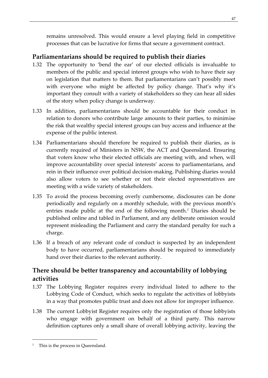remains unresolved. This would ensure a level playing field in competitive processes that can be lucrative for firms that secure a government contract.

## **Parliamentarians should be required to publish their diaries**

- 1.32 The opportunity to 'bend the ear' of our elected officials is invaluable to members of the public and special interest groups who wish to have their say on legislation that matters to them. But parliamentarians can't possibly meet with everyone who might be affected by policy change. That's why it's important they consult with a variety of stakeholders so they can hear all sides of the story when policy change is underway.
- 1.33 In addition, parliamentarians should be accountable for their conduct in relation to donors who contribute large amounts to their parties, to minimise the risk that wealthy special interest groups can buy access and influence at the expense of the public interest.
- 1.34 Parliamentarians should therefore be required to publish their diaries, as is currently required of Ministers in NSW, the ACT and Queensland. Ensuring that voters know who their elected officials are meeting with, and when, will improve accountability over special interests' access to parliamentarians, and rein in their influence over political decision-making. Publishing diaries would also allow voters to see whether or not their elected representatives are meeting with a wide variety of stakeholders.
- 1.35 To avoid the process becoming overly cumbersome, disclosures can be done periodically and regularly on a monthly schedule, with the previous month's entries made public at the end of the following month.<sup>7</sup> Diaries should be published online and tabled in Parliament, and any deliberate omission would represent misleading the Parliament and carry the standard penalty for such a charge.
- 1.36 If a breach of any relevant code of conduct is suspected by an independent body to have occurred, parliamentarians should be required to immediately hand over their diaries to the relevant authority.

# **There should be better transparency and accountability of lobbying activities**

- 1.37 The Lobbying Register requires every individual listed to adhere to the Lobbying Code of Conduct, which seeks to regulate the activities of lobbyists in a way that promotes public trust and does not allow for improper influence.
- 1.38 The current Lobbyist Register requires only the registration of those lobbyists who engage with government on behalf of a third party. This narrow definition captures only a small share of overall lobbying activity, leaving the

<sup>47</sup>

<sup>7</sup> This is the process in Queensland.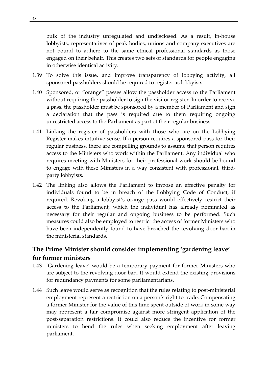bulk of the industry unregulated and undisclosed. As a result, in-house lobbyists, representatives of peak bodies, unions and company executives are not bound to adhere to the same ethical professional standards as those engaged on their behalf. This creates two sets of standards for people engaging in otherwise identical activity.

- 1.39 To solve this issue, and improve transparency of lobbying activity, all sponsored passholders should be required to register as lobbyists.
- 1.40 Sponsored, or "orange" passes allow the passholder access to the Parliament without requiring the passholder to sign the visitor register. In order to receive a pass, the passholder must be sponsored by a member of Parliament and sign a declaration that the pass is required due to them requiring ongoing unrestricted access to the Parliament as part of their regular business.
- 1.41 Linking the register of passholders with those who are on the Lobbying Register makes intuitive sense. If a person requires a sponsored pass for their regular business, there are compelling grounds to assume that person requires access to the Ministers who work within the Parliament. Any individual who requires meeting with Ministers for their professional work should be bound to engage with these Ministers in a way consistent with professional, thirdparty lobbyists.
- 1.42 The linking also allows the Parliament to impose an effective penalty for individuals found to be in breach of the Lobbying Code of Conduct, if required. Revoking a lobbyist's orange pass would effectively restrict their access to the Parliament, which the individual has already nominated as necessary for their regular and ongoing business to be performed. Such measures could also be employed to restrict the access of former Ministers who have been independently found to have breached the revolving door ban in the ministerial standards.

# **The Prime Minister should consider implementing 'gardening leave' for former ministers**

- 1.43 'Gardening leave' would be a temporary payment for former Ministers who are subject to the revolving door ban. It would extend the existing provisions for redundancy payments for some parliamentarians.
- 1.44 Such leave would serve as recognition that the rules relating to post-ministerial employment represent a restriction on a person's right to trade. Compensating a former Minister for the value of this time spent outside of work in some way may represent a fair compromise against more stringent application of the post-separation restrictions. It could also reduce the incentive for former ministers to bend the rules when seeking employment after leaving parliament.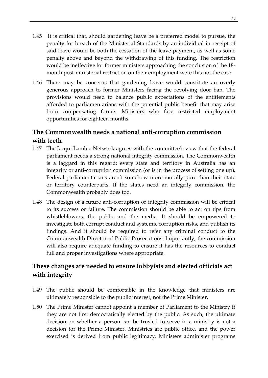- 1.45 It is critical that, should gardening leave be a preferred model to pursue, the penalty for breach of the Ministerial Standards by an individual in receipt of said leave would be both the cessation of the leave payment, as well as some penalty above and beyond the withdrawing of this funding. The restriction would be ineffective for former ministers approaching the conclusion of the 18 month post-ministerial restriction on their employment were this not the case.
- 1.46 There may be concerns that gardening leave would constitute an overly generous approach to former Ministers facing the revolving door ban. The provisions would need to balance public expectations of the entitlements afforded to parliamentarians with the potential public benefit that may arise from compensating former Ministers who face restricted employment opportunities for eighteen months.

## **The Commonwealth needs a national anti-corruption commission with teeth**

- 1.47 The Jacqui Lambie Network agrees with the committee's view that the federal parliament needs a strong national integrity commission. The Commonwealth is a laggard in this regard: every state and territory in Australia has an integrity or anti-corruption commission (or is in the process of setting one up). Federal parliamentarians aren't somehow more morally pure than their state or territory counterparts. If the states need an integrity commission, the Commonwealth probably does too.
- 1.48 The design of a future anti-corruption or integrity commission will be critical to its success or failure. The commission should be able to act on tips from whistleblowers, the public and the media. It should be empowered to investigate both corrupt conduct and systemic corruption risks, and publish its findings. And it should be required to refer any criminal conduct to the Commonwealth Director of Public Prosecutions. Importantly, the commission will also require adequate funding to ensure it has the resources to conduct full and proper investigations where appropriate.

## **These changes are needed to ensure lobbyists and elected officials act with integrity**

- 1.49 The public should be comfortable in the knowledge that ministers are ultimately responsible to the public interest, not the Prime Minister.
- 1.50 The Prime Minister cannot appoint a member of Parliament to the Ministry if they are not first democratically elected by the public. As such, the ultimate decision on whether a person can be trusted to serve in a ministry is not a decision for the Prime Minister. Ministries are public office, and the power exercised is derived from public legitimacy. Ministers administer programs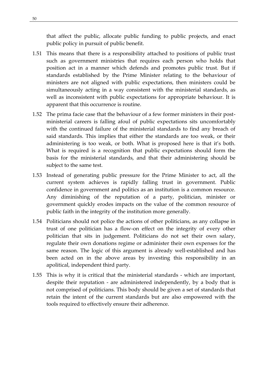that affect the public, allocate public funding to public projects, and enact public policy in pursuit of public benefit.

- 1.51 This means that there is a responsibility attached to positions of public trust such as government ministries that requires each person who holds that position act in a manner which defends and promotes public trust. But if standards established by the Prime Minister relating to the behaviour of ministers are not aligned with public expectations, then ministers could be simultaneously acting in a way consistent with the ministerial standards, as well as inconsistent with public expectations for appropriate behaviour. It is apparent that this occurrence is routine.
- 1.52 The prima facie case that the behaviour of a few former ministers in their postministerial careers is falling afoul of public expectations sits uncomfortably with the continued failure of the ministerial standards to find any breach of said standards. This implies that either the standards are too weak, or their administering is too weak, or both. What is proposed here is that it's both. What is required is a recognition that public expectations should form the basis for the ministerial standards, and that their administering should be subject to the same test.
- 1.53 Instead of generating public pressure for the Prime Minister to act, all the current system achieves is rapidly falling trust in government. Public confidence in government and politics as an institution is a common resource. Any diminishing of the reputation of a party, politician, minister or government quickly erodes impacts on the value of the common resource of public faith in the integrity of the institution more generally.
- 1.54 Politicians should not police the actions of other politicians, as any collapse in trust of one politician has a flow-on effect on the integrity of every other politician that sits in judgement. Politicians do not set their own salary, regulate their own donations regime or administer their own expenses for the same reason. The logic of this argument is already well-established and has been acted on in the above areas by investing this responsibility in an apolitical, independent third party.
- 1.55 This is why it is critical that the ministerial standards which are important, despite their reputation - are administered independently, by a body that is not comprised of politicians. This body should be given a set of standards that retain the intent of the current standards but are also empowered with the tools required to effectively ensure their adherence.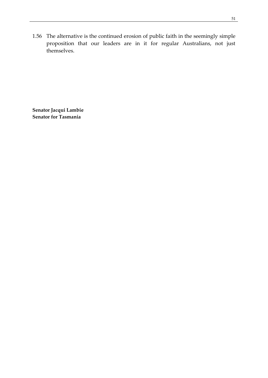1.56 The alternative is the continued erosion of public faith in the seemingly simple proposition that our leaders are in it for regular Australians, not just themselves.

**Senator Jacqui Lambie Senator for Tasmania**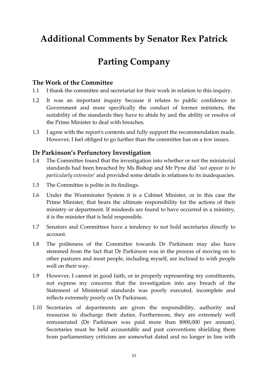# **Additional Comments by Senator Rex Patrick**

# **Parting Company**

## **The Work of the Committee**

- 1.1 I thank the committee and secretariat for their work in relation to this inquiry.
- 1.2 It was an important inquiry because it relates to public confidence in Government and more specifically the conduct of former ministers, the suitability of the standards they have to abide by and the ability or resolve of the Prime Minister to deal with breaches.
- 1.3 I agree with the report's contents and fully support the recommendation made. However, I feel obliged to go further than the committee has on a few issues.

## **Dr Parkinson's Perfunctory Investigation**

- 1.4 The Committee found that the investigation into whether or not the ministerial standards had been breached by Ms Bishop and Mr Pyne did *'not appear to be particularly extensive*' and provided some details in relations to its inadequacies.
- 1.5 The Committee is polite in its findings.
- 1.6 Under the Westminster System it is a Cabinet Minister, or in this case the Prime Minister, that bears the ultimate responsibility for the actions of their ministry or department. If misdeeds are found to have occurred in a ministry, it is the minister that is held responsible.
- 1.7 Senators and Committees have a tendency to not hold secretaries directly to account.
- 1.8 The politeness of the Committee towards Dr Parkinson may also have stemmed from the fact that Dr Parkinson was in the process of moving on to other pastures and most people, including myself, are inclined to wish people well on their way.
- 1.9 However, I cannot in good faith, or in properly representing my constituents, not express my concerns that the investigation into any breach of the Statement of Ministerial standards was poorly executed, incomplete and reflects extremely poorly on Dr Parkinson.
- 1.10 Secretaries of departments are given the responsibility, authority and resources to discharge their duties. Furthermore, they are extremely well remunerated (Dr Parkinson was paid more than \$900,000 per annum). Secretaries must be held accountable and past conventions shielding them from parliamentary criticism are somewhat dated and no longer in line with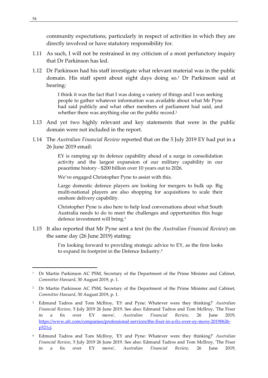community expectations, particularly in respect of activities in which they are directly involved or have statutory responsibility for.

- 1.11 As such, I will not be restrained in my criticism of a most perfunctory inquiry that Dr Parkinson has led.
- 1.12 Dr Parkinson had his staff investigate what relevant material was in the public domain. His staff spent about eight days doing so.<sup>1</sup> Dr Parkinson said at hearing:

I think it was the fact that I was doing a variety of things and I was seeking people to gather whatever information was available about what Mr Pyne had said publicly and what other members of parliament had said, and whether there was anything else on the public record.<sup>2</sup>

- 1.13 And yet two highly relevant and key statements that were in the public domain were not included in the report.
- 1.14 The *Australian Financial Review* reported that on the 5 July 2019 EY had put in a 26 June 2019 email:

EY is ramping up its defence capability ahead of a surge in consolidation activity and the largest expansion of our military capability in our peacetime history - \$200 billion over 10 years out to 2026.

We've engaged Christopher Pyne to assist with this.

Large domestic defence players are looking for mergers to bulk up. Big multi-national players are also shopping for acquisitions to scale their onshore delivery capability.

Christopher Pyne is also here to help lead conversations about what South Australia needs to do to meet the challenges and opportunities this huge defence investment will bring.<sup>3</sup>

1.15 It also reported that Mr Pyne sent a text (to the *Australian Financial Review*) on the same day (26 June 2019) stating:

> I'm looking forward to providing strategic advice to EY, as the firm looks to expand its footprint in the Defence Industry.<sup>4</sup>

<sup>&</sup>lt;sup>1</sup> Dr Martin Parkinson AC PSM, Secretary of the Department of the Prime Minister and Cabinet, *Committee Hansard*, 30 August 2019, p. 1.

<sup>&</sup>lt;sup>2</sup> Dr Martin Parkinson AC PSM, Secretary of the Department of the Prime Minister and Cabinet, *Committee Hansard*, 30 August 2019, p. 1.

<sup>3</sup> Edmund Tadros and Tom McIlroy, 'EY and Pyne: Whatever were they thinking?' *Australian Financial Review*, 5 July 2019 26 June 2019. See also: Edmund Tadros and Tom McIlroy, 'The Fixer in a fix over EY move', *Australian Financial Review*, 26 June 2019, [https://www.afr.com/companies/professional-services/the-fixer-in-a-fix-over-ey-move-20190626](https://www.afr.com/companies/professional-services/the-fixer-in-a-fix-over-ey-move-20190626-p521cj) [p521cj.](https://www.afr.com/companies/professional-services/the-fixer-in-a-fix-over-ey-move-20190626-p521cj)

<sup>4</sup> Edmund Tadros and Tom McIlroy, 'EY and Pyne: Whatever were they thinking?' *Australian Financial Review*, 5 July 2019 26 June 2019. See also: Edmund Tadros and Tom McIlroy, 'The Fixer in a fix over EY move', *Australian Financial Review*, 26 June 2019,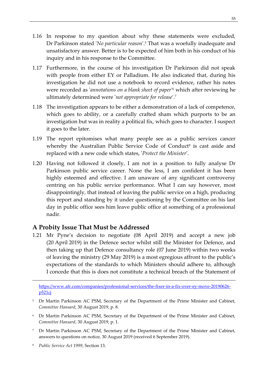- 1.16 In response to my question about why these statements were excluded, Dr Parkinson stated '*No particular reason*'.<sup>5</sup> That was a woefully inadequate and unsatisfactory answer. Better is to be expected of him both in his conduct of his inquiry and in his response to the Committee.
- 1.17 Furthermore, in the course of his investigation Dr Parkinson did not speak with people from either EY or Palladium. He also indicated that, during his investigation he did not use a notebook to record evidence, rather his notes were recorded as '*annotations on a blank sheet of paper*' <sup>6</sup> which after reviewing he ultimately determined were '*not appropriate for release*'.<sup>7</sup>
- 1.18 The investigation appears to be either a demonstration of a lack of competence, which goes to ability, or a carefully crafted sham which purports to be an investigation but was in reality a political fix, which goes to character. I suspect it goes to the later.
- 1.19 The report epitomises what many people see as a public services cancer whereby the Australian Public Service Code of Conduct<sup>8</sup> is cast aside and replaced with a new code which states, '*Protect the Minister*'.
- 1.20 Having not followed it closely, I am not in a position to fully analyse Dr Parkinson public service career. None the less, I am confident it has been highly esteemed and effective. I am unaware of any significant controversy centring on his public service performance. What I can say however, most disappointingly, that instead of leaving the public service on a high, producing this report and standing by it under questioning by the Committee on his last day in public office sees him leave public office at something of a professional nadir.

## **A Probity Issue That Must be Addressed**

1.21 Mr Pyne's decision to negotiate (08 April 2019) and accept a new job (20 April 2019) in the Defence sector whilst still the Minister for Defence, and then taking up that Defence consultancy role (07 June 2019) within two weeks of leaving the ministry (29 May 2019) is a most egregious affront to the public's expectations of the standards to which Ministers should adhere to, although I concede that this is does not constitute a technical breach of the Statement of

[https://www.afr.com/companies/professional-services/the-fixer-in-a-fix-over-ey-move-20190626](https://www.afr.com/companies/professional-services/the-fixer-in-a-fix-over-ey-move-20190626-p521cj) [p521cj](https://www.afr.com/companies/professional-services/the-fixer-in-a-fix-over-ey-move-20190626-p521cj)

- <sup>5</sup> Dr Martin Parkinson AC PSM, Secretary of the Department of the Prime Minister and Cabinet, *Committee Hansard*, 30 August 2019, p. 8.
- <sup>6</sup> Dr Martin Parkinson AC PSM, Secretary of the Department of the Prime Minister and Cabinet, *Committee Hansard*, 30 August 2019, p. 1.
- <sup>7</sup> Dr Martin Parkinson AC PSM, Secretary of the Department of the Prime Minister and Cabinet, answers to questions on notice, 30 August 2019 (received 6 September 2019).
- <sup>8</sup> *Public Service Act 1999*, Section 13.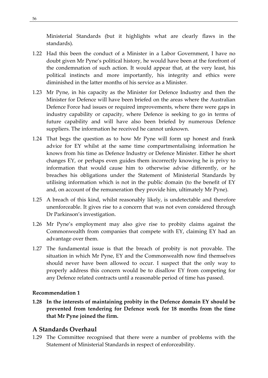Ministerial Standards (but it highlights what are clearly flaws in the standards).

- 1.22 Had this been the conduct of a Minister in a Labor Government, I have no doubt given Mr Pyne's political history, he would have been at the forefront of the condemnation of such action. It would appear that, at the very least, his political instincts and more importantly, his integrity and ethics were diminished in the latter months of his service as a Minister.
- 1.23 Mr Pyne, in his capacity as the Minister for Defence Industry and then the Minister for Defence will have been briefed on the areas where the Australian Defence Force had issues or required improvements, where there were gaps in industry capability or capacity, where Defence is seeking to go in terms of future capability and will have also been briefed by numerous Defence suppliers. The information he received he cannot unknown.
- 1.24 That begs the question as to how Mr Pyne will form up honest and frank advice for EY whilst at the same time compartmentalising information he knows from his time as Defence Industry or Defence Minister. Either he short changes EY, or perhaps even guides them incorrectly knowing he is privy to information that would cause him to otherwise advise differently, or he breaches his obligations under the Statement of Ministerial Standards by utilising information which is not in the public domain (to the benefit of EY and, on account of the remuneration they provide him, ultimately Mr Pyne).
- 1.25 A breach of this kind, whilst reasonably likely, is undetectable and therefore unenforceable. It gives rise to a concern that was not even considered through Dr Parkinson's investigation.
- 1.26 Mr Pyne's employment may also give rise to probity claims against the Commonwealth from companies that compete with EY, claiming EY had an advantage over them.
- 1.27 The fundamental issue is that the breach of probity is not provable. The situation in which Mr Pyne, EY and the Commonwealth now find themselves should never have been allowed to occur. I suspect that the only way to properly address this concern would be to disallow EY from competing for any Defence related contracts until a reasonable period of time has passed.

#### **Recommendation 1**

**1.28 In the interests of maintaining probity in the Defence domain EY should be prevented from tendering for Defence work for 18 months from the time that Mr Pyne joined the firm.**

## **A Standards Overhaul**

1.29 The Committee recognised that there were a number of problems with the Statement of Ministerial Standards in respect of enforceability.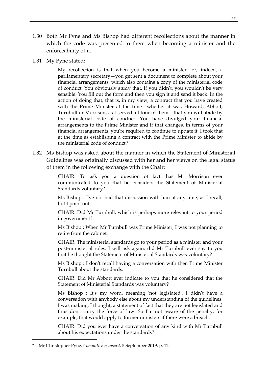- 1.30 Both Mr Pyne and Ms Bishop had different recollections about the manner in which the code was presented to them when becoming a minister and the enforceability of it.
- 1.31 My Pyne stated:

My recollection is that when you become a minister—or, indeed, a parliamentary secretary—you get sent a document to complete about your financial arrangements, which also contains a copy of the ministerial code of conduct. You obviously study that. If you didn't, you wouldn't be very sensible. You fill out the form and then you sign it and send it back. In the action of doing that, that is, in my view, a contract that you have created with the Prime Minister at the time—whether it was Howard, Abbott, Turnbull or Morrison, as I served all four of them—that you will abide by the ministerial code of conduct. You have divulged your financial arrangements to the Prime Minister and if that changes, in terms of your financial arrangements, you're required to continue to update it. I took that at the time as establishing a contract with the Prime Minister to abide by the ministerial code of conduct.<sup>9</sup>

1.32 Ms Bishop was asked about the manner in which the Statement of Ministerial Guidelines was originally discussed with her and her views on the legal status of them in the following exchange with the Chair:

> CHAIR: To ask you a question of fact: has Mr Morrison ever communicated to you that he considers the Statement of Ministerial Standards voluntary?

> Ms Bishop : I've not had that discussion with him at any time, as I recall, but I point out—

> CHAIR: Did Mr Turnbull, which is perhaps more relevant to your period in government?

> Ms Bishop : When Mr Turnbull was Prime Minister, I was not planning to retire from the cabinet.

> CHAIR: The ministerial standards go to your period as a minister and your post-ministerial roles. I will ask again: did Mr Turnbull ever say to you that he thought the Statement of Ministerial Standards was voluntary?

> Ms Bishop : I don't recall having a conversation with then Prime Minister Turnbull about the standards.

> CHAIR: Did Mr Abbott ever indicate to you that he considered that the Statement of Ministerial Standards was voluntary?

> Ms Bishop : It's my word, meaning 'not legislated'. I didn't have a conversation with anybody else about my understanding of the guidelines. I was making, I thought, a statement of fact that they are not legislated and thus don't carry the force of law. So I'm not aware of the penalty, for example, that would apply to former ministers if there were a breach.

> CHAIR: Did you ever have a conversation of any kind with Mr Turnbull about his expectations under the standards?

<sup>9</sup> Mr Christopher Pyne, *Committee Hansard*, 5 September 2019, p. 12.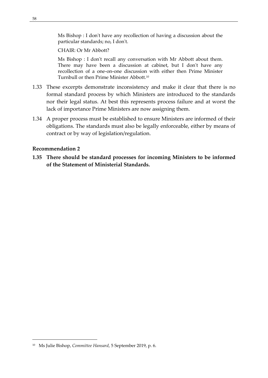Ms Bishop : I don't have any recollection of having a discussion about the particular standards; no, I don't.

CHAIR: Or Mr Abbott?

Ms Bishop : I don't recall any conversation with Mr Abbott about them. There may have been a discussion at cabinet, but I don't have any recollection of a one-on-one discussion with either then Prime Minister Turnbull or then Prime Minister Abbott.<sup>10</sup>

- 1.33 These excerpts demonstrate inconsistency and make it clear that there is no formal standard process by which Ministers are introduced to the standards nor their legal status. At best this represents process failure and at worst the lack of importance Prime Ministers are now assigning them.
- 1.34 A proper process must be established to ensure Ministers are informed of their obligations. The standards must also be legally enforceable, either by means of contract or by way of legislation/regulation.

#### **Recommendation 2**

**1.35 There should be standard processes for incoming Ministers to be informed of the Statement of Ministerial Standards.**

<sup>1</sup> <sup>10</sup> Ms Julie Bishop, *Committee Hansard*, 5 September 2019, p. 6.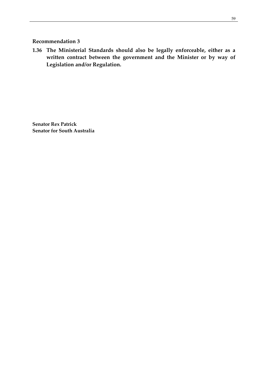#### **Recommendation 3**

**1.36 The Ministerial Standards should also be legally enforceable, either as a written contract between the government and the Minister or by way of Legislation and/or Regulation.**

**Senator Rex Patrick Senator for South Australia**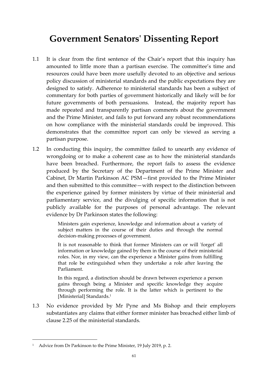## **Government Senators' Dissenting Report**

- 1.1 It is clear from the first sentence of the Chair's report that this inquiry has amounted to little more than a partisan exercise. The committee's time and resources could have been more usefully devoted to an objective and serious policy discussion of ministerial standards and the public expectations they are designed to satisfy. Adherence to ministerial standards has been a subject of commentary for both parties of government historically and likely will be for future governments of both persuasions. Instead, the majority report has made repeated and transparently partisan comments about the government and the Prime Minister, and fails to put forward any robust recommendations on how compliance with the ministerial standards could be improved. This demonstrates that the committee report can only be viewed as serving a partisan purpose.
- 1.2 In conducting this inquiry, the committee failed to unearth any evidence of wrongdoing or to make a coherent case as to how the ministerial standards have been breached. Furthermore, the report fails to assess the evidence produced by the Secretary of the Department of the Prime Minister and Cabinet, Dr Martin Parkinson AC PSM—first provided to the Prime Minister and then submitted to this committee—with respect to the distinction between the experience gained by former ministers by virtue of their ministerial and parliamentary service, and the divulging of specific information that is not publicly available for the purposes of personal advantage. The relevant evidence by Dr Parkinson states the following:

Ministers gain experience, knowledge and information about a variety of subject matters in the course of their duties and through the normal decision-making processes of government.

It is not reasonable to think that former Ministers can or will 'forget' all information or knowledge gained by them in the course of their ministerial roles. Nor, in my view, can the experience a Minister gains from fulfilling that role be extinguished when they undertake a role after leaving the Parliament.

In this regard, a distinction should be drawn between experience a person gains through being a Minister and specific knowledge they acquire through performing the role. It is the latter which is pertinent to the [Ministerial] Standards.<sup>1</sup>

1.3 No evidence provided by Mr Pyne and Ms Bishop and their employers substantiates any claims that either former minister has breached either limb of clause 2.25 of the ministerial standards.

<sup>&</sup>lt;sup>1</sup> Advice from Dr Parkinson to the Prime Minister, 19 July 2019, p. 2.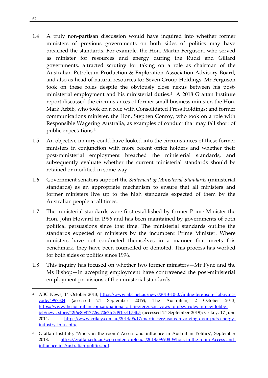- 1.4 A truly non-partisan discussion would have inquired into whether former ministers of previous governments on both sides of politics may have breached the standards. For example, the Hon. Martin Ferguson, who served as minister for resources and energy during the Rudd and Gillard governments, attracted scrutiny for taking on a role as chairman of the Australian Petroleum Production & Exploration Association Advisory Board, and also as head of natural resources for Seven Group Holdings. Mr Ferguson took on these roles despite the obviously close nexus between his postministerial employment and his ministerial duties.<sup>2</sup> A 2018 Grattan Institute report discussed the circumstances of former small business minister, the Hon. Mark Arbib, who took on a role with Consolidated Press Holdings; and former communications minister, the Hon. Stephen Conroy, who took on a role with Responsible Wagering Australia, as examples of conduct that may fall short of public expectations.<sup>3</sup>
- 1.5 An objective inquiry could have looked into the circumstances of these former ministers in conjunction with more recent office holders and whether their post-ministerial employment breached the ministerial standards, and subsequently evaluate whether the current ministerial standards should be retained or modified in some way.
- 1.6 Government senators support the *Statement of Ministerial Standards* (ministerial standards) as an appropriate mechanism to ensure that all ministers and former ministers live up to the high standards expected of them by the Australian people at all times.
- 1.7 The ministerial standards were first established by former Prime Minister the Hon. John Howard in 1996 and has been maintained by governments of both political persuasions since that time. The ministerial standards outline the standards expected of ministers by the incumbent Prime Minister. Where ministers have not conducted themselves in a manner that meets this benchmark, they have been counselled or demoted. This process has worked for both sides of politics since 1996.
- 1.8 This inquiry has focused on whether two former ministers—Mr Pyne and the Ms Bishop—in accepting employment have contravened the post-ministerial employment provisions of the ministerial standards.

<sup>&</sup>lt;sup>2</sup> ABC News, 14 October 2013, [https://www.abc.net.au/news/2013-10-07/milne-ferguson-](https://www.abc.net.au/news/2013-10-07/milne-ferguson-%20lobbying-code/4997304) lobbying[code/4997304](https://www.abc.net.au/news/2013-10-07/milne-ferguson-%20lobbying-code/4997304) (accessed 24 September 2019); The Australian, 2 October 2013, [https://www.theaustralian.com.au/national-affairs/ferguson-vows-to-obey-rules-in-new-lobby](https://www.theaustralian.com.au/national-affairs/ferguson-vows-to-obey-rules-in-new-lobby-job/news-story/42f6e8b817726a7067fc7d91ec1b53b5)[job/news-story/42f6e8b817726a7067fc7d91ec1b53b5](https://www.theaustralian.com.au/national-affairs/ferguson-vows-to-obey-rules-in-new-lobby-job/news-story/42f6e8b817726a7067fc7d91ec1b53b5) (accessed 24 September 2019); Crikey, 17 June 2014, [https://www.crikey.com.au/2014/06/17/martin-fergusons-revolving-door-puts-energy](https://www.crikey.com.au/2014/06/17/martin-fergusons-revolving-door-puts-energy-industry-in-a-spin/)[industry-in-a-spin/.](https://www.crikey.com.au/2014/06/17/martin-fergusons-revolving-door-puts-energy-industry-in-a-spin/)

<sup>3</sup> Grattan Institute, 'Who's in the room? Access and influence in Australian Politics', September 2018, [https://grattan.edu.au/wp-content/uploads/2018/09/908-Who-s-in-the-room-Access-and](https://grattan.edu.au/wp-content/uploads/2018/09/908-Who-s-in-the-room-Access-and-influence-in-Australian-politics.pdf)[influence-in-Australian-politics.pdf.](https://grattan.edu.au/wp-content/uploads/2018/09/908-Who-s-in-the-room-Access-and-influence-in-Australian-politics.pdf)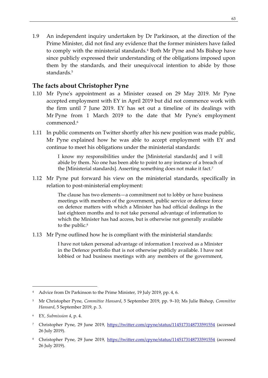1.9 An independent inquiry undertaken by Dr Parkinson, at the direction of the Prime Minister, did not find any evidence that the former ministers have failed to comply with the ministerial standards.<sup>4</sup> Both Mr Pyne and Ms Bishop have since publicly expressed their understanding of the obligations imposed upon them by the standards, and their unequivocal intention to abide by those standards.<sup>5</sup>

#### **The facts about Christopher Pyne**

- 1.10 Mr Pyne's appointment as a Minister ceased on 29 May 2019. Mr Pyne accepted employment with EY in April 2019 but did not commence work with the firm until 7 June 2019. EY has set out a timeline of its dealings with Mr Pyne from 1 March 2019 to the date that Mr Pyne's employment commenced.<sup>6</sup>
- 1.11 In public comments on Twitter shortly after his new position was made public, Mr Pyne explained how he was able to accept employment with EY and continue to meet his obligations under the ministerial standards:

I know my responsibilities under the [Ministerial standards] and I will abide by them. No one has been able to point to any instance of a breach of the [Ministerial standards]. Asserting something does not make it fact.<sup>7</sup>

1.12 Mr Pyne put forward his view on the ministerial standards, specifically in relation to post-ministerial employment:

> The clause has two elements—a commitment not to lobby or have business meetings with members of the government, public service or defence force on defence matters with which a Minister has had official dealings in the last eighteen months and to not take personal advantage of information to which the Minister has had access, but is otherwise not generally available to the public.<sup>8</sup>

1.13 Mr Pyne outlined how he is compliant with the ministerial standards:

I have not taken personal advantage of information I received as a Minister in the Defence portfolio that is not otherwise publicly available. I have not lobbied or had business meetings with any members of the government,

<sup>&</sup>lt;sup>4</sup> Advice from Dr Parkinson to the Prime Minister, 19 July 2019, pp. 4, 6.

<sup>5</sup> Mr Christopher Pyne, *Committee Hansard*, 5 September 2019, pp. 9–10; Ms Julie Bishop, *Committee Hansard*, 5 September 2019, p. 3.

<sup>6</sup> EY, *Submission 4*, p. 4.

<sup>&</sup>lt;sup>7</sup> Christopher Pyne, 29 June 2019,<https://twitter.com/cpyne/status/1145173148733591554> (accessed 26 July 2019).

<sup>&</sup>lt;sup>8</sup> Christopher Pyne, 29 June 2019,<https://twitter.com/cpyne/status/1145173148733591554> (accessed 26 July 2019).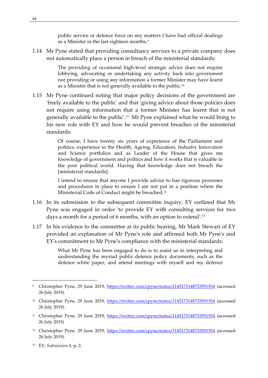public service or defence force on any matters I have had official dealings as a Minister in the last eighteen months.<sup>9</sup>

1.14 Mr Pyne stated that providing consultancy services to a private company does not automatically place a person in breach of the ministerial standards:

> The providing of occasional high-level strategic advice does not require lobbying, advocating or undertaking any activity back into government nor providing or using any information a former Minister may have learnt as a Minister that is not generally available to the public.<sup>10</sup>

1.15 Mr Pyne continued noting that major policy decisions of the government are 'freely available to the public' and that 'giving advice about those policies does not require using information that a former Minister has learnt that is not generally available to the public'.<sup>11</sup> Mr Pyne explained what he would bring to his new role with EY and how he would prevent breaches of the ministerial standards:

> Of course, I have twenty six years of experience of the Parliament and politics, experience in the Health, Ageing, Education, Industry Innovation and Science portfolios and as Leader of the House that gives me knowledge of government and politics and how it works that is valuable in the post political world. Having that knowledge does not breach the [ministerial standards].

> I intend to ensure that anyone I provide advice to has rigorous processes and procedures in place to ensure I am not put in a position where the Ministerial Code of Conduct might be breached.<sup>12</sup>

- 1.16 In its submission to the subsequent committee inquiry, EY outlined that Mr Pyne was engaged in order 'to provide EY with consulting services for two days a month for a period of 6 months, with an option to extend'.<sup>13</sup>
- 1.17 In his evidence to the committee at its public hearing, Mr Mark Stewart of EY provided an explanation of Mr Pyne's role and affirmed both Mr Pyne's and EY's commitment to Mr Pyne's compliance with the ministerial standards:

What Mr Pyne has been engaged to do is to assist us in interpreting and understanding the myriad public defence policy documents, such as the defence white paper, and attend meetings with myself and my defence

- <sup>11</sup> Christopher Pyne, 29 June 2019,<https://twitter.com/cpyne/status/1145173148733591554> (accessed 26 July 2019)
- <sup>12</sup> Christopher Pyne, 29 June 2019,<https://twitter.com/cpyne/status/1145173148733591554> (accessed 26 July 2019).
- <sup>13</sup> EY, *Submission 4*, p. 2.

<sup>&</sup>lt;sup>9</sup> Christopher Pyne, 29 June 2019,<https://twitter.com/cpyne/status/1145173148733591554> (accessed 26 July 2019).

<sup>&</sup>lt;sup>10</sup> Christopher Pyne, 29 June 2019,<https://twitter.com/cpyne/status/1145173148733591554> (accessed 26 July 2019).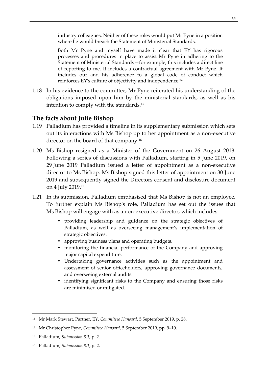industry colleagues. Neither of these roles would put Mr Pyne in a position where he would breach the Statement of Ministerial Standards.

Both Mr Pyne and myself have made it clear that EY has rigorous processes and procedures in place to assist Mr Pyne in adhering to the Statement of Ministerial Standards—for example, this includes a direct line of reporting to me. It includes a contractual agreement with Mr Pyne. It includes our and his adherence to a global code of conduct which reinforces EY's culture of objectivity and independence.<sup>14</sup>

1.18 In his evidence to the committee, Mr Pyne reiterated his understanding of the obligations imposed upon him by the ministerial standards, as well as his intention to comply with the standards.<sup>15</sup>

#### **The facts about Julie Bishop**

- 1.19 Palladium has provided a timeline in its supplementary submission which sets out its interactions with Ms Bishop up to her appointment as a non-executive director on the board of that company.<sup>16</sup>
- 1.20 Ms Bishop resigned as a Minister of the Government on 26 August 2018. Following a series of discussions with Palladium, starting in 5 June 2019, on 29 June 2019 Palladium issued a letter of appointment as a non-executive director to Ms Bishop. Ms Bishop signed this letter of appointment on 30 June 2019 and subsequently signed the Directors consent and disclosure document on 4 July 2019.<sup>17</sup>
- 1.21 In its submission, Palladium emphasised that Ms Bishop is not an employee. To further explain Ms Bishop's role, Palladium has set out the issues that Ms Bishop will engage with as a non-executive director, which includes:
	- providing leadership and guidance on the strategic objectives of Palladium, as well as overseeing management's implementation of strategic objectives.
	- approving business plans and operating budgets.
	- monitoring the financial performance of the Company and approving major capital expenditure.
	- Undertaking governance activities such as the appointment and assessment of senior officeholders, approving governance documents, and overseeing external audits.
	- identifying significant risks to the Company and ensuring those risks are minimised or mitigated.

<sup>14</sup> Mr Mark Stewart, Partner, EY, *Committee Hansard*, 5 September 2019, p. 28.

<sup>15</sup> Mr Christopher Pyne, *Committee Hansard*, 5 September 2019, pp. 9–10.

<sup>16</sup> Palladium, *Submission 8.1*, p. 2.

<sup>17</sup> Palladium, *Submission 8.1*, p. 2.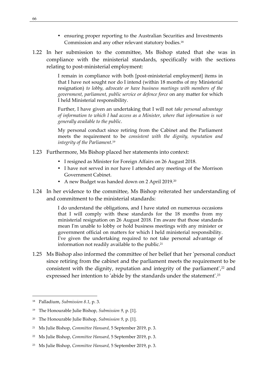- ensuring proper reporting to the Australian Securities and Investments Commission and any other relevant statutory bodies.<sup>18</sup>
- 1.22 In her submission to the committee, Ms Bishop stated that she was in compliance with the ministerial standards, specifically with the sections relating to post-ministerial employment:

I remain in compliance with both [post-ministerial employment] items in that I have not sought nor do I intend (within 18 months of my Ministerial resignation) *to lobby, advocate or have business meetings with members of the government, parliament, public service or defence force* on any matter for which I held Ministerial responsibility.

Further, I have given an undertaking that I will not *take personal advantage of information to which I had access as a Minister, where that information is not generally available to the public*.

My personal conduct since retiring from the Cabinet and the Parliament meets the requirement to be *consistent with the dignity, reputation and integrity of the Parliament*. 19

- 1.23 Furthermore, Ms Bishop placed her statements into context:
	- I resigned as Minister for Foreign Affairs on 26 August 2018.
	- I have not served in nor have I attended any meetings of the Morrison Government Cabinet.
	- A new Budget was handed down on 2 April 2019.<sup>20</sup>
- 1.24 In her evidence to the committee, Ms Bishop reiterated her understanding of and commitment to the ministerial standards:

I do understand the obligations, and I have stated on numerous occasions that I will comply with these standards for the 18 months from my ministerial resignation on 26 August 2018. I'm aware that those standards mean I'm unable to lobby or hold business meetings with any minister or government official on matters for which I held ministerial responsibility. I've given the undertaking required to not take personal advantage of information not readily available to the public.<sup>21</sup>

1.25 Ms Bishop also informed the committee of her belief that her 'personal conduct since retiring from the cabinet and the parliament meets the requirement to be consistent with the dignity, reputation and integrity of the parliament', <sup>22</sup> and expressed her intention to 'abide by the standards under the statement'.<sup>23</sup>

<sup>18</sup> Palladium, *Submission 8.1*, p. 3.

<sup>19</sup> The Honourable Julie Bishop, *Submission 9*, p. [1].

<sup>20</sup> The Honourable Julie Bishop, *Submission 9*, p. [1].

<sup>21</sup> Ms Julie Bishop, *Committee Hansard*, 5 September 2019, p. 3.

<sup>22</sup> Ms Julie Bishop, *Committee Hansard*, 5 September 2019, p. 3.

<sup>23</sup> Ms Julie Bishop, *Committee Hansard*, 5 September 2019, p. 3.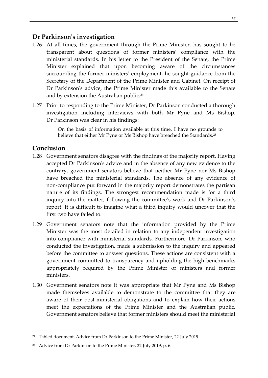#### **Dr Parkinson's investigation**

- 1.26 At all times, the government through the Prime Minister, has sought to be transparent about questions of former ministers' compliance with the ministerial standards. In his letter to the President of the Senate, the Prime Minister explained that upon becoming aware of the circumstances surrounding the former ministers' employment, he sought guidance from the Secretary of the Department of the Prime Minister and Cabinet. On receipt of Dr Parkinson's advice, the Prime Minister made this available to the Senate and by extension the Australian public.<sup>24</sup>
- 1.27 Prior to responding to the Prime Minister, Dr Parkinson conducted a thorough investigation including interviews with both Mr Pyne and Ms Bishop. Dr Parkinson was clear in his findings:

On the basis of information available at this time, I have no grounds to believe that either Mr Pyne or Ms Bishop have breached the Standards.<sup>25</sup>

### **Conclusion**

- 1.28 Government senators disagree with the findings of the majority report. Having accepted Dr Parkinson's advice and in the absence of any new evidence to the contrary, government senators believe that neither Mr Pyne nor Ms Bishop have breached the ministerial standards. The absence of any evidence of non-compliance put forward in the majority report demonstrates the partisan nature of its findings. The strongest recommendation made is for a third inquiry into the matter, following the committee's work and Dr Parkinson's report. It is difficult to imagine what a third inquiry would uncover that the first two have failed to.
- 1.29 Government senators note that the information provided by the Prime Minister was the most detailed in relation to any independent investigation into compliance with ministerial standards. Furthermore, Dr Parkinson, who conducted the investigation, made a submission to the inquiry and appeared before the committee to answer questions. These actions are consistent with a government committed to transparency and upholding the high benchmarks appropriately required by the Prime Minister of ministers and former ministers.
- 1.30 Government senators note it was appropriate that Mr Pyne and Ms Bishop made themselves available to demonstrate to the committee that they are aware of their post-ministerial obligations and to explain how their actions meet the expectations of the Prime Minister and the Australian public. Government senators believe that former ministers should meet the ministerial

<sup>&</sup>lt;sup>24</sup> Tabled document, Advice from Dr Parkinson to the Prime Minister, 22 July 2019.

<sup>&</sup>lt;sup>25</sup> Advice from Dr Parkinson to the Prime Minister, 22 July 2019, p. 6.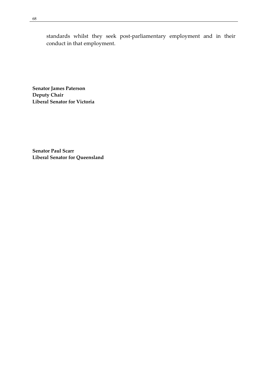standards whilst they seek post-parliamentary employment and in their conduct in that employment.

**Senator James Paterson Deputy Chair Liberal Senator for Victoria**

**Senator Paul Scarr Liberal Senator for Queensland**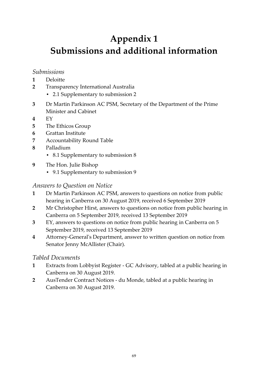# **Appendix 1 Submissions and additional information**

#### *Submissions*

- **1** Deloitte
- **2** Transparency International Australia
	- 2.1 Supplementary to submission 2
- **3** Dr Martin Parkinson AC PSM, Secretary of the Department of the Prime Minister and Cabinet
- **4** EY
- **5** The Ethicos Group
- **6** Grattan Institute
- **7** Accountability Round Table
- **8** Palladium
	- 8.1 Supplementary to submission 8
- **9** The Hon. Julie Bishop
	- 9.1 Supplementary to submission 9

### *Answers to Question on Notice*

- **1** Dr Martin Parkinson AC PSM, answers to questions on notice from public hearing in Canberra on 30 August 2019, received 6 September 2019
- **2** Mr Christopher Hirst, answers to questions on notice from public hearing in Canberra on 5 September 2019, received 13 September 2019
- **3** EY, answers to questions on notice from public hearing in Canberra on 5 September 2019, received 13 September 2019
- **4** Attorney-General's Department, answer to written question on notice from Senator Jenny McAllister (Chair).

### *Tabled Documents*

- **1** Extracts from Lobbyist Register GC Advisory, tabled at a public hearing in Canberra on 30 August 2019.
- **2** AusTender Contract Notices du Monde, tabled at a public hearing in Canberra on 30 August 2019.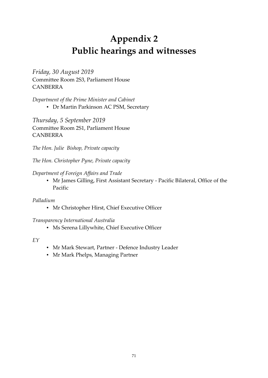# **Appendix 2 Public hearings and witnesses**

*Friday, 30 August 2019* Committee Room 2S3, Parliament House CANBERRA

*Department of the Prime Minister and Cabinet*

Dr Martin Parkinson AC PSM, Secretary

*Thursday, 5 September 2019* Committee Room 2S1, Parliament House CANBERRA

*The Hon. Julie Bishop, Private capacity*

*The Hon. Christopher Pyne, Private capacity*

*Department of Foreign Affairs and Trade*

 Mr James Gilling, First Assistant Secretary - Pacific Bilateral, Office of the Pacific

#### *Palladium*

Mr Christopher Hirst, Chief Executive Officer

*Transparency International Australia*

Ms Serena Lillywhite, Chief Executive Officer

*EY*

- Mr Mark Stewart, Partner Defence Industry Leader
- Mr Mark Phelps, Managing Partner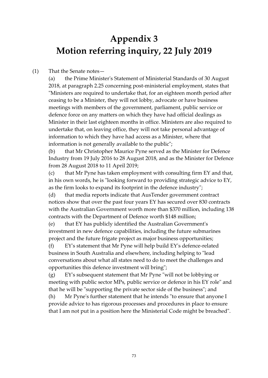# **Appendix 3 Motion referring inquiry, 22 July 2019**

(1) That the Senate notes—

(a) the Prime Minister's Statement of Ministerial Standards of 30 August 2018, at paragraph 2.25 concerning post-ministerial employment, states that "Ministers are required to undertake that, for an eighteen month period after ceasing to be a Minister, they will not lobby, advocate or have business meetings with members of the government, parliament, public service or defence force on any matters on which they have had official dealings as Minister in their last eighteen months in office. Ministers are also required to undertake that, on leaving office, they will not take personal advantage of information to which they have had access as a Minister, where that information is not generally available to the public";

(b) that Mr Christopher Maurice Pyne served as the Minister for Defence Industry from 19 July 2016 to 28 August 2018, and as the Minister for Defence from 28 August 2018 to 11 April 2019;

(c) that Mr Pyne has taken employment with consulting firm EY and that, in his own words, he is "looking forward to providing strategic advice to EY, as the firm looks to expand its footprint in the defence industry";

(d) that media reports indicate that AusTender government contract notices show that over the past four years EY has secured over 830 contracts with the Australian Government worth more than \$370 million, including 138 contracts with the Department of Defence worth \$148 million;

(e) that EY has publicly identified the Australian Government's investment in new defence capabilities, including the future submarines project and the future frigate project as major business opportunities;

(f) EY's statement that Mr Pyne will help build EY's defence-related business in South Australia and elsewhere, including helping to "lead conversations about what all states need to do to meet the challenges and opportunities this defence investment will bring";

(g) EY's subsequent statement that Mr Pyne "will not be lobbying or meeting with public sector MPs, public service or defence in his EY role" and that he will be "supporting the private sector side of the business"; and

(h) Mr Pyne's further statement that he intends "to ensure that anyone I provide advice to has rigorous processes and procedures in place to ensure that I am not put in a position here the Ministerial Code might be breached".